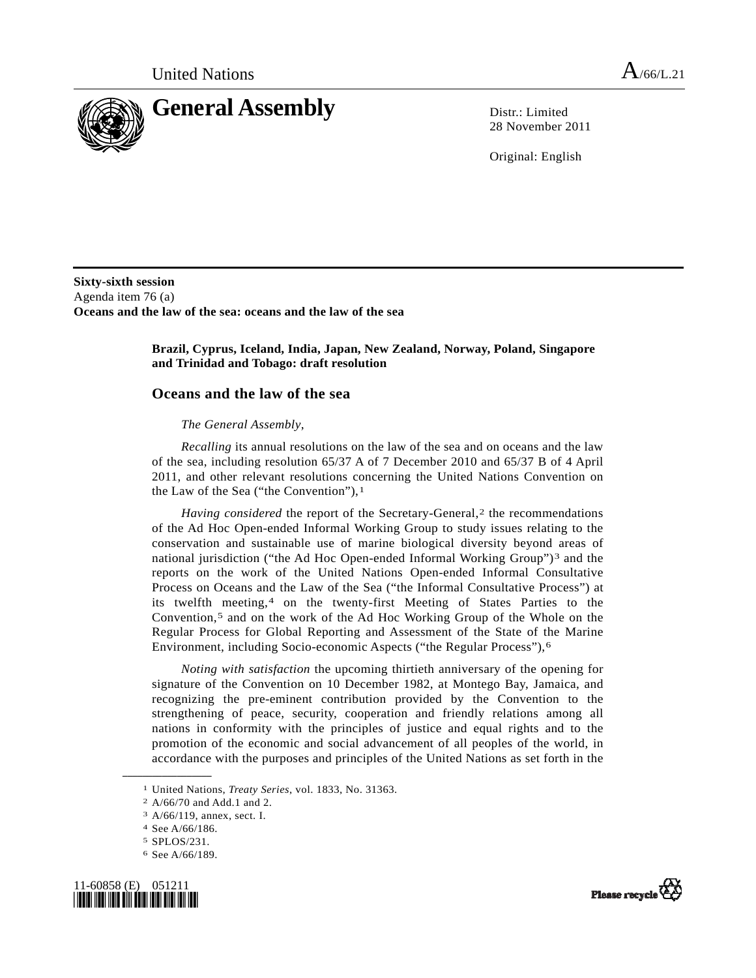<span id="page-0-6"></span>

28 November 2011

Original: English

**Sixty-sixth session**  Agenda item 76 (a) **Oceans and the law of the sea: oceans and the law of the sea** 

## **Brazil, Cyprus, Iceland, India, Japan, New Zealand, Norway, Poland, Singapore and Trinidad and Tobago: draft resolution**

## **Oceans and the law of the sea**

### *The General Assembly*,

*Recalling* its annual resolutions on the law of the sea and on oceans and the law of the sea, including resolution 65/37 A of 7 December 2010 and 65/37 B of 4 April 2011, and other relevant resolutions concerning the United Nations Convention on the Law of the Sea ("the Convention"),<sup>[1](#page-0-0)</sup>

*Having considered* the report of the Secretary-General,<sup>2</sup> the recommendations of the Ad Hoc Open-ended Informal Working Group to study issues relating to the conservation and sustainable use of marine biological diversity beyond areas of national jurisdiction ("the Ad Hoc Open-ended Informal Working Group")[3](#page-0-2) and the reports on the work of the United Nations Open-ended Informal Consultative Process on Oceans and the Law of the Sea ("the Informal Consultative Process") at its twelfth meeting,[4](#page-0-3) on the twenty-first Meeting of States Parties to the Convention,[5](#page-0-4) and on the work of the Ad Hoc Working Group of the Whole on the Regular Process for Global Reporting and Assessment of the State of the Marine Environment, including Socio-economic Aspects ("the Regular Process"),[6](#page-0-5)

*Noting with satisfaction* the upcoming thirtieth anniversary of the opening for signature of the Convention on 10 December 1982, at Montego Bay, Jamaica, and recognizing the pre-eminent contribution provided by the Convention to the strengthening of peace, security, cooperation and friendly relations among all nations in conformity with the principles of justice and equal rights and to the promotion of the economic and social advancement of all peoples of the world, in accordance with the purposes and principles of the United Nations as set forth in the

<span id="page-0-5"></span><span id="page-0-4"></span><span id="page-0-3"></span><span id="page-0-2"></span><span id="page-0-1"></span><span id="page-0-0"></span><sup>6</sup> See A/66/189.





<sup>1</sup> United Nations, *Treaty Series*, vol. 1833, No. 31363. 2 A/66/70 and Add.1 and 2.

<sup>3</sup> A/66/119, annex, sect. I.

<sup>4</sup> See A/66/186.

<sup>5</sup> SPLOS/231.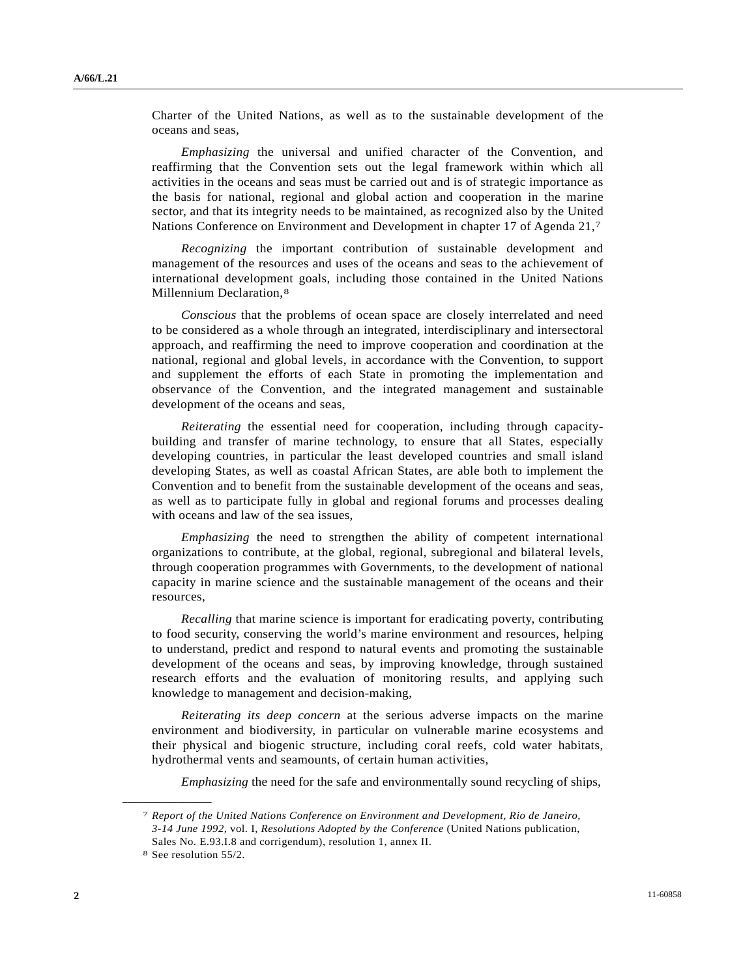Charter of the United Nations, as well as to the sustainable development of the oceans and seas,

*Emphasizing* the universal and unified character of the Convention, and reaffirming that the Convention sets out the legal framework within which all activities in the oceans and seas must be carried out and is of strategic importance as the basis for national, regional and global action and cooperation in the marine sector, and that its integrity needs to be maintained, as recognized also by the United Nations Conference on Environment and Development in chapter 17 of Agenda 21,[7](#page-1-0) 

*Recognizing* the important contribution of sustainable development and management of the resources and uses of the oceans and seas to the achievement of international development goals, including those contained in the United Nations Millennium Declaration, [8](#page-1-1)

*Conscious* that the problems of ocean space are closely interrelated and need to be considered as a whole through an integrated, interdisciplinary and intersectoral approach, and reaffirming the need to improve cooperation and coordination at the national, regional and global levels, in accordance with the Convention, to support and supplement the efforts of each State in promoting the implementation and observance of the Convention, and the integrated management and sustainable development of the oceans and seas,

*Reiterating* the essential need for cooperation, including through capacitybuilding and transfer of marine technology, to ensure that all States, especially developing countries, in particular the least developed countries and small island developing States, as well as coastal African States, are able both to implement the Convention and to benefit from the sustainable development of the oceans and seas, as well as to participate fully in global and regional forums and processes dealing with oceans and law of the sea issues,

*Emphasizing* the need to strengthen the ability of competent international organizations to contribute, at the global, regional, subregional and bilateral levels, through cooperation programmes with Governments, to the development of national capacity in marine science and the sustainable management of the oceans and their resources,

*Recalling* that marine science is important for eradicating poverty, contributing to food security, conserving the world's marine environment and resources, helping to understand, predict and respond to natural events and promoting the sustainable development of the oceans and seas, by improving knowledge, through sustained research efforts and the evaluation of monitoring results, and applying such knowledge to management and decision-making,

*Reiterating its deep concern* at the serious adverse impacts on the marine environment and biodiversity, in particular on vulnerable marine ecosystems and their physical and biogenic structure, including coral reefs, cold water habitats, hydrothermal vents and seamounts, of certain human activities,

*Emphasizing* the need for the safe and environmentally sound recycling of ships,

<span id="page-1-0"></span><sup>7</sup> *Report of the United Nations Conference on Environment and Development, Rio de Janeiro, 3-14 June 1992,* vol. I, *Resolutions Adopted by the Conference* (United Nations publication, Sales No. E.93.I.8 and corrigendum), resolution 1, annex II.

<span id="page-1-1"></span><sup>8</sup> See resolution 55/2.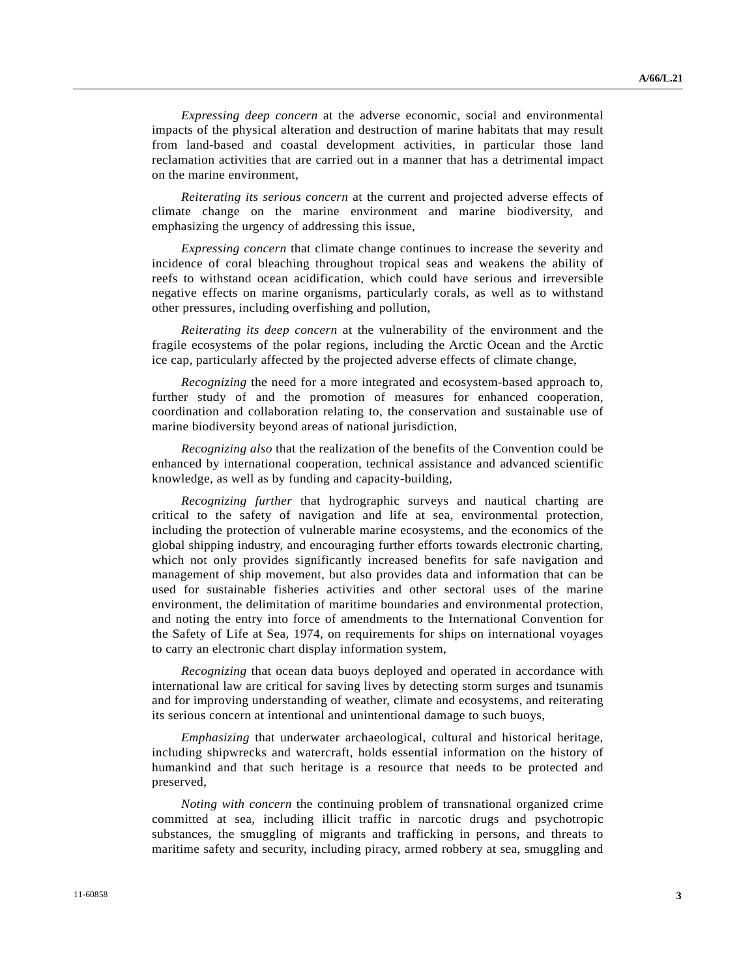*Expressing deep concern* at the adverse economic, social and environmental impacts of the physical alteration and destruction of marine habitats that may result from land-based and coastal development activities, in particular those land reclamation activities that are carried out in a manner that has a detrimental impact on the marine environment,

*Reiterating its serious concern* at the current and projected adverse effects of climate change on the marine environment and marine biodiversity, and emphasizing the urgency of addressing this issue,

*Expressing concern* that climate change continues to increase the severity and incidence of coral bleaching throughout tropical seas and weakens the ability of reefs to withstand ocean acidification, which could have serious and irreversible negative effects on marine organisms, particularly corals, as well as to withstand other pressures, including overfishing and pollution,

*Reiterating its deep concern* at the vulnerability of the environment and the fragile ecosystems of the polar regions, including the Arctic Ocean and the Arctic ice cap, particularly affected by the projected adverse effects of climate change,

*Recognizing* the need for a more integrated and ecosystem-based approach to, further study of and the promotion of measures for enhanced cooperation, coordination and collaboration relating to, the conservation and sustainable use of marine biodiversity beyond areas of national jurisdiction,

*Recognizing also* that the realization of the benefits of the Convention could be enhanced by international cooperation, technical assistance and advanced scientific knowledge, as well as by funding and capacity-building,

*Recognizing further* that hydrographic surveys and nautical charting are critical to the safety of navigation and life at sea, environmental protection, including the protection of vulnerable marine ecosystems, and the economics of the global shipping industry, and encouraging further efforts towards electronic charting, which not only provides significantly increased benefits for safe navigation and management of ship movement, but also provides data and information that can be used for sustainable fisheries activities and other sectoral uses of the marine environment, the delimitation of maritime boundaries and environmental protection, and noting the entry into force of amendments to the International Convention for the Safety of Life at Sea, 1974, on requirements for ships on international voyages to carry an electronic chart display information system,

*Recognizing* that ocean data buoys deployed and operated in accordance with international law are critical for saving lives by detecting storm surges and tsunamis and for improving understanding of weather, climate and ecosystems, and reiterating its serious concern at intentional and unintentional damage to such buoys,

*Emphasizing* that underwater archaeological, cultural and historical heritage, including shipwrecks and watercraft, holds essential information on the history of humankind and that such heritage is a resource that needs to be protected and preserved,

*Noting with concern* the continuing problem of transnational organized crime committed at sea, including illicit traffic in narcotic drugs and psychotropic substances, the smuggling of migrants and trafficking in persons, and threats to maritime safety and security, including piracy, armed robbery at sea, smuggling and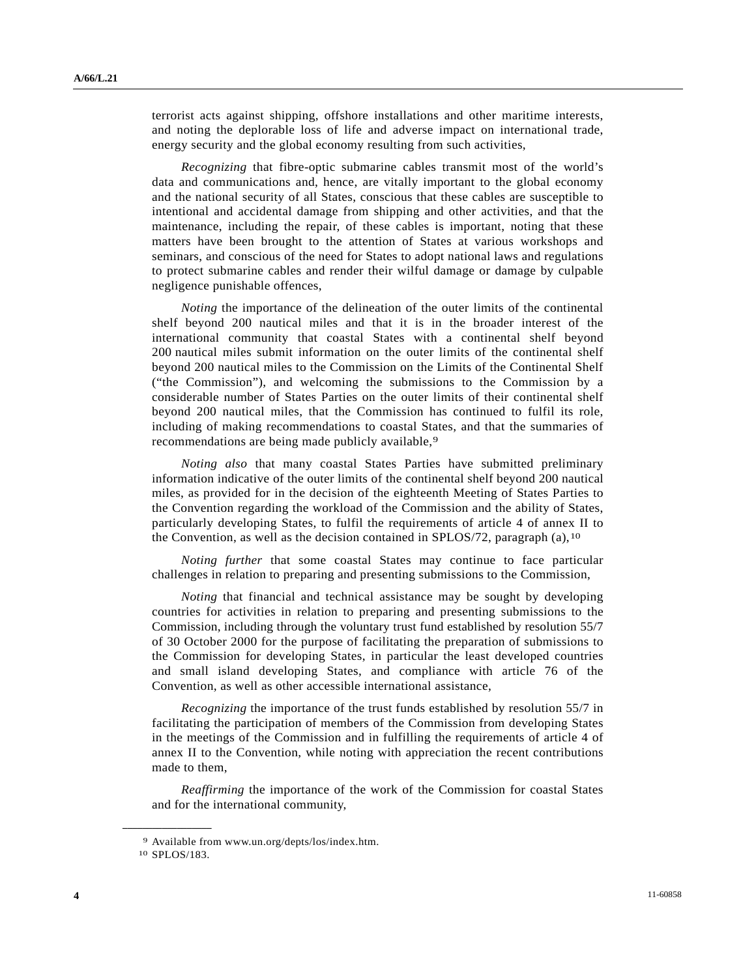terrorist acts against shipping, offshore installations and other maritime interests, and noting the deplorable loss of life and adverse impact on international trade, energy security and the global economy resulting from such activities,

*Recognizing* that fibre-optic submarine cables transmit most of the world's data and communications and, hence, are vitally important to the global economy and the national security of all States, conscious that these cables are susceptible to intentional and accidental damage from shipping and other activities, and that the maintenance, including the repair, of these cables is important, noting that these matters have been brought to the attention of States at various workshops and seminars, and conscious of the need for States to adopt national laws and regulations to protect submarine cables and render their wilful damage or damage by culpable negligence punishable offences,

*Noting* the importance of the delineation of the outer limits of the continental shelf beyond 200 nautical miles and that it is in the broader interest of the international community that coastal States with a continental shelf beyond 200 nautical miles submit information on the outer limits of the continental shelf beyond 200 nautical miles to the Commission on the Limits of the Continental Shelf ("the Commission"), and welcoming the submissions to the Commission by a considerable number of States Parties on the outer limits of their continental shelf beyond 200 nautical miles, that the Commission has continued to fulfil its role, including of making recommendations to coastal States, and that the summaries of recommendations are being made publicly available,<sup>9</sup>

*Noting also* that many coastal States Parties have submitted preliminary information indicative of the outer limits of the continental shelf beyond 200 nautical miles, as provided for in the decision of the eighteenth Meeting of States Parties to the Convention regarding the workload of the Commission and the ability of States, particularly developing States, to fulfil the requirements of article 4 of annex II to the Convention, as well as the decision contained in SPLOS/72, paragraph  $(a)$ ,  $10$  $10$ 

*Noting further* that some coastal States may continue to face particular challenges in relation to preparing and presenting submissions to the Commission,

*Noting* that financial and technical assistance may be sought by developing countries for activities in relation to preparing and presenting submissions to the Commission, including through the voluntary trust fund established by resolution 55/7 of 30 October 2000 for the purpose of facilitating the preparation of submissions to the Commission for developing States, in particular the least developed countries and small island developing States, and compliance with article 76 of the Convention, as well as other accessible international assistance,

*Recognizing* the importance of the trust funds established by resolution 55/7 in facilitating the participation of members of the Commission from developing States in the meetings of the Commission and in fulfilling the requirements of article 4 of annex II to the Convention, while noting with appreciation the recent contributions made to them,

*Reaffirming* the importance of the work of the Commission for coastal States and for the international community,

<sup>9</sup> Available from www.un.org/depts/los/index.htm.

<span id="page-3-1"></span><span id="page-3-0"></span><sup>10</sup> SPLOS/183.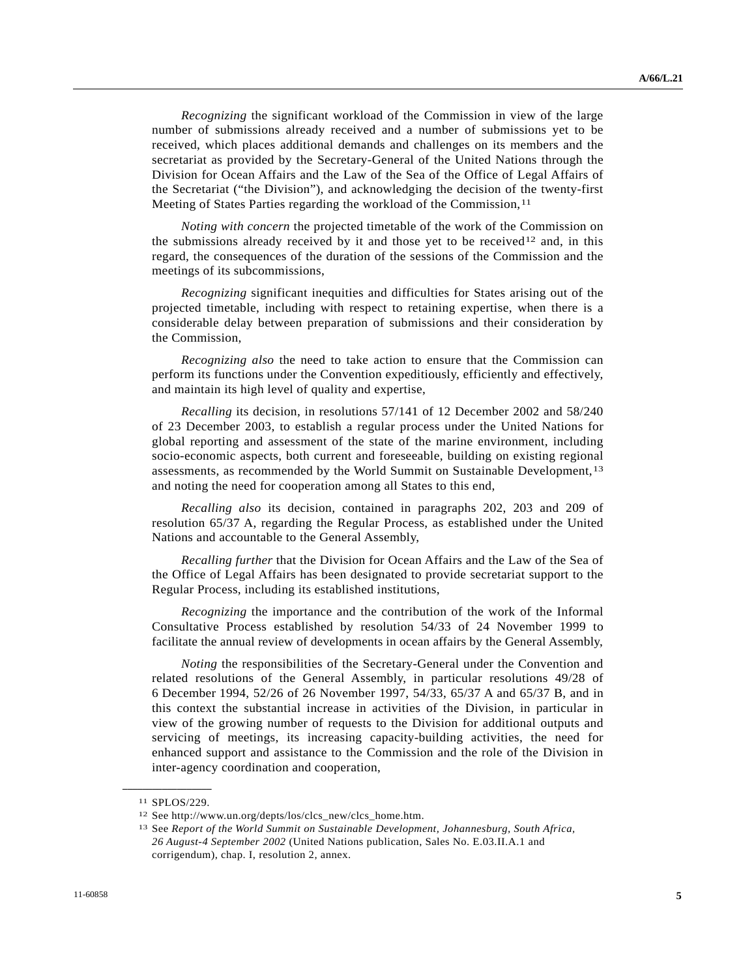*Recognizing* the significant workload of the Commission in view of the large number of submissions already received and a number of submissions yet to be received, which places additional demands and challenges on its members and the secretariat as provided by the Secretary-General of the United Nations through the Division for Ocean Affairs and the Law of the Sea of the Office of Legal Affairs of the Secretariat ("the Division"), and acknowledging the decision of the twenty-first Meeting of States Parties regarding the workload of the Commission,<sup>[1](#page-4-0)1</sup>

*Noting with concern* the projected timetable of the work of the Commission on the submissions already received by it and those yet to be received  $12$  and, in this regard, the consequences of the duration of the sessions of the Commission and the meetings of its subcommissions,

*Recognizing* significant inequities and difficulties for States arising out of the projected timetable, including with respect to retaining expertise, when there is a considerable delay between preparation of submissions and their consideration by the Commission,

*Recognizing also* the need to take action to ensure that the Commission can perform its functions under the Convention expeditiously, efficiently and effectively, and maintain its high level of quality and expertise,

*Recalling* its decision, in resolutions 57/141 of 12 December 2002 and 58/240 of 23 December 2003, to establish a regular process under the United Nations for global reporting and assessment of the state of the marine environment, including socio-economic aspects, both current and foreseeable, building on existing regional assessments, as recommended by the World Summit on Sustainable Development,[13](#page-4-2) and noting the need for cooperation among all States to this end,

*Recalling also* its decision, contained in paragraphs 202, 203 and 209 of resolution 65/37 A, regarding the Regular Process, as established under the United Nations and accountable to the General Assembly,

*Recalling further* that the Division for Ocean Affairs and the Law of the Sea of the Office of Legal Affairs has been designated to provide secretariat support to the Regular Process, including its established institutions,

*Recognizing* the importance and the contribution of the work of the Informal Consultative Process established by resolution 54/33 of 24 November 1999 to facilitate the annual review of developments in ocean affairs by the General Assembly,

*Noting* the responsibilities of the Secretary-General under the Convention and related resolutions of the General Assembly, in particular resolutions 49/28 of 6 December 1994, 52/26 of 26 November 1997, 54/33, 65/37 A and 65/37 B, and in this context the substantial increase in activities of the Division, in particular in view of the growing number of requests to the Division for additional outputs and servicing of meetings, its increasing capacity-building activities, the need for enhanced support and assistance to the Commission and the role of the Division in inter-agency coordination and cooperation,

<span id="page-4-2"></span><span id="page-4-1"></span><span id="page-4-0"></span>**\_\_\_\_\_\_\_\_\_\_\_\_\_\_\_\_\_\_**  11 SPLOS/229.

<sup>12</sup> See http://www.un.org/depts/los/clcs\_new/clcs\_home.htm.

<sup>13</sup> See *Report of the World Summit on Sustainable Development, Johannesburg, South Africa, 26 August-4 September 2002* (United Nations publication, Sales No. E.03.II.A.1 and corrigendum), chap. I, resolution 2, annex.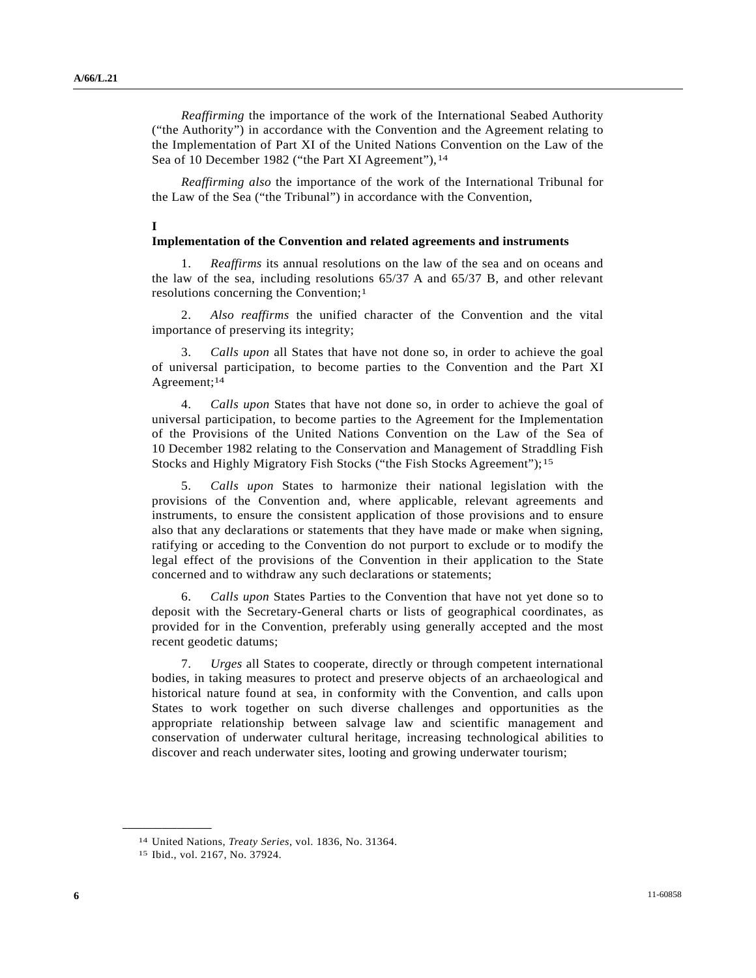<span id="page-5-1"></span>*Reaffirming* the importance of the work of the International Seabed Authority ("the Authority") in accordance with the Convention and the Agreement relating to the Implementation of Part XI of the United Nations Convention on the Law of the Sea of 10 December 1982 ("the Part XI Agreement"), <sup>[14](#page-5-0)</sup>

*Reaffirming also* the importance of the work of the International Tribunal for the Law of the Sea ("the Tribunal") in accordance with the Convention,

 *I* 

### **Implementation of the Convention and related agreements and instruments**

 1. *Reaffirms* its annual resolutions on the law of the sea and on oceans and the law of the sea, including resolutions 65/37 A and 65/37 B, and other relevant resolutions concerning the Convention;[1](#page-0-6) 

 2. *Also reaffirms* the unified character of the Convention and the vital importance of preserving its integrity;

 3. *Calls upon* all States that have not done so, in order to achieve the goal of universal participation, to become parties to the Convention and the Part XI Agreement;<sup>14</sup>

 4. *Calls upon* States that have not done so, in order to achieve the goal of universal participation, to become parties to the Agreement for the Implementation of the Provisions of the United Nations Convention on the Law of the Sea of 10 December 1982 relating to the Conservation and Management of Straddling Fish Stocks and Highly Migratory Fish Stocks ("the Fish Stocks Agreement");[1](#page-5-2)5

 5. *Calls upon* States to harmonize their national legislation with the provisions of the Convention and, where applicable, relevant agreements and instruments, to ensure the consistent application of those provisions and to ensure also that any declarations or statements that they have made or make when signing, ratifying or acceding to the Convention do not purport to exclude or to modify the legal effect of the provisions of the Convention in their application to the State concerned and to withdraw any such declarations or statements;

 6. *Calls upon* States Parties to the Convention that have not yet done so to deposit with the Secretary-General charts or lists of geographical coordinates, as provided for in the Convention, preferably using generally accepted and the most recent geodetic datums;

 7. *Urges* all States to cooperate, directly or through competent international bodies, in taking measures to protect and preserve objects of an archaeological and historical nature found at sea, in conformity with the Convention, and calls upon States to work together on such diverse challenges and opportunities as the appropriate relationship between salvage law and scientific management and conservation of underwater cultural heritage, increasing technological abilities to discover and reach underwater sites, looting and growing underwater tourism;

<span id="page-5-2"></span><span id="page-5-0"></span><sup>14</sup> United Nations, *Treaty Series*, vol. 1836, No. 31364. 15 Ibid., vol. 2167, No. 37924.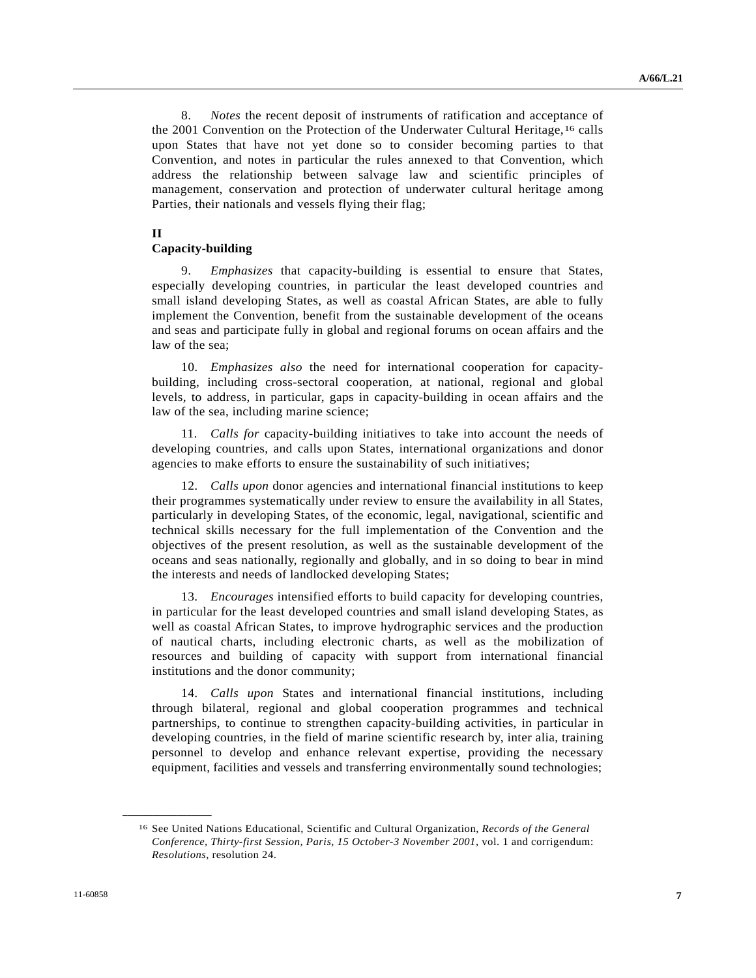8. *Notes* the recent deposit of instruments of ratification and acceptance of the 200[1](#page-6-0) Convention on the Protection of the Underwater Cultural Heritage,  $16$  calls upon States that have not yet done so to consider becoming parties to that Convention, and notes in particular the rules annexed to that Convention, which address the relationship between salvage law and scientific principles of management, conservation and protection of underwater cultural heritage among Parties, their nationals and vessels flying their flag;

## **II**

## **Capacity-building**

 9. *Emphasizes* that capacity-building is essential to ensure that States, especially developing countries, in particular the least developed countries and small island developing States, as well as coastal African States, are able to fully implement the Convention, benefit from the sustainable development of the oceans and seas and participate fully in global and regional forums on ocean affairs and the law of the sea;

 10. *Emphasizes also* the need for international cooperation for capacitybuilding, including cross-sectoral cooperation, at national, regional and global levels, to address, in particular, gaps in capacity-building in ocean affairs and the law of the sea, including marine science;

 11. *Calls for* capacity-building initiatives to take into account the needs of developing countries, and calls upon States, international organizations and donor agencies to make efforts to ensure the sustainability of such initiatives;

 12. *Calls upon* donor agencies and international financial institutions to keep their programmes systematically under review to ensure the availability in all States, particularly in developing States, of the economic, legal, navigational, scientific and technical skills necessary for the full implementation of the Convention and the objectives of the present resolution, as well as the sustainable development of the oceans and seas nationally, regionally and globally, and in so doing to bear in mind the interests and needs of landlocked developing States;

 13. *Encourages* intensified efforts to build capacity for developing countries, in particular for the least developed countries and small island developing States, as well as coastal African States, to improve hydrographic services and the production of nautical charts, including electronic charts, as well as the mobilization of resources and building of capacity with support from international financial institutions and the donor community;

 14. *Calls upon* States and international financial institutions, including through bilateral, regional and global cooperation programmes and technical partnerships, to continue to strengthen capacity-building activities, in particular in developing countries, in the field of marine scientific research by, inter alia, training personnel to develop and enhance relevant expertise, providing the necessary equipment, facilities and vessels and transferring environmentally sound technologies;

<span id="page-6-0"></span><sup>16</sup> See United Nations Educational, Scientific and Cultural Organization, *Records of the General Conference, Thirty-first Session, Paris, 15 October-3 November 2001*, vol. 1 and corrigendum: *Resolutions*, resolution 24.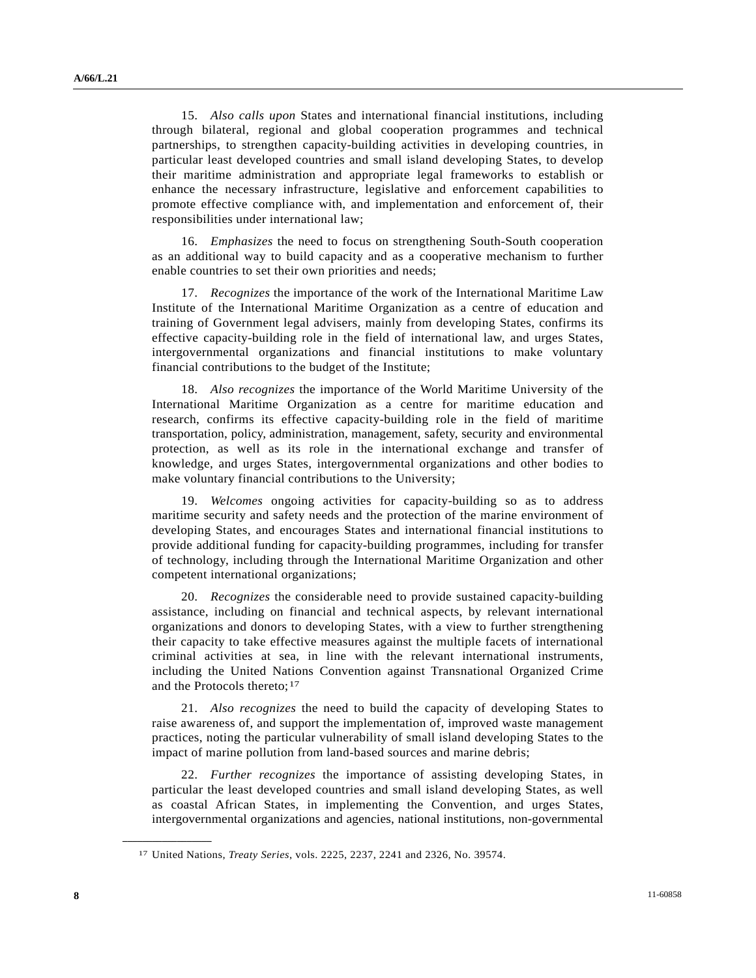15. *Also calls upon* States and international financial institutions, including through bilateral, regional and global cooperation programmes and technical partnerships, to strengthen capacity-building activities in developing countries, in particular least developed countries and small island developing States, to develop their maritime administration and appropriate legal frameworks to establish or enhance the necessary infrastructure, legislative and enforcement capabilities to promote effective compliance with, and implementation and enforcement of, their responsibilities under international law;

 16. *Emphasizes* the need to focus on strengthening South-South cooperation as an additional way to build capacity and as a cooperative mechanism to further enable countries to set their own priorities and needs;

 17. *Recognizes* the importance of the work of the International Maritime Law Institute of the International Maritime Organization as a centre of education and training of Government legal advisers, mainly from developing States, confirms its effective capacity-building role in the field of international law, and urges States, intergovernmental organizations and financial institutions to make voluntary financial contributions to the budget of the Institute;

 18. *Also recognizes* the importance of the World Maritime University of the International Maritime Organization as a centre for maritime education and research, confirms its effective capacity-building role in the field of maritime transportation, policy, administration, management, safety, security and environmental protection, as well as its role in the international exchange and transfer of knowledge, and urges States, intergovernmental organizations and other bodies to make voluntary financial contributions to the University;

 19. *Welcomes* ongoing activities for capacity-building so as to address maritime security and safety needs and the protection of the marine environment of developing States, and encourages States and international financial institutions to provide additional funding for capacity-building programmes, including for transfer of technology, including through the International Maritime Organization and other competent international organizations;

 20. *Recognizes* the considerable need to provide sustained capacity-building assistance, including on financial and technical aspects, by relevant international organizations and donors to developing States, with a view to further strengthening their capacity to take effective measures against the multiple facets of international criminal activities at sea, in line with the relevant international instruments, including the United Nations Convention against Transnational Organized Crime and the Protocols thereto;<sup>[1](#page-7-0)7</sup>

 21. *Also recognizes* the need to build the capacity of developing States to raise awareness of, and support the implementation of, improved waste management practices, noting the particular vulnerability of small island developing States to the impact of marine pollution from land-based sources and marine debris;

 22. *Further recognizes* the importance of assisting developing States, in particular the least developed countries and small island developing States, as well as coastal African States, in implementing the Convention, and urges States, intergovernmental organizations and agencies, national institutions, non-governmental

<span id="page-7-0"></span><sup>17</sup> United Nations, *Treaty Series*, vols. 2225, 2237, 2241 and 2326, No. 39574.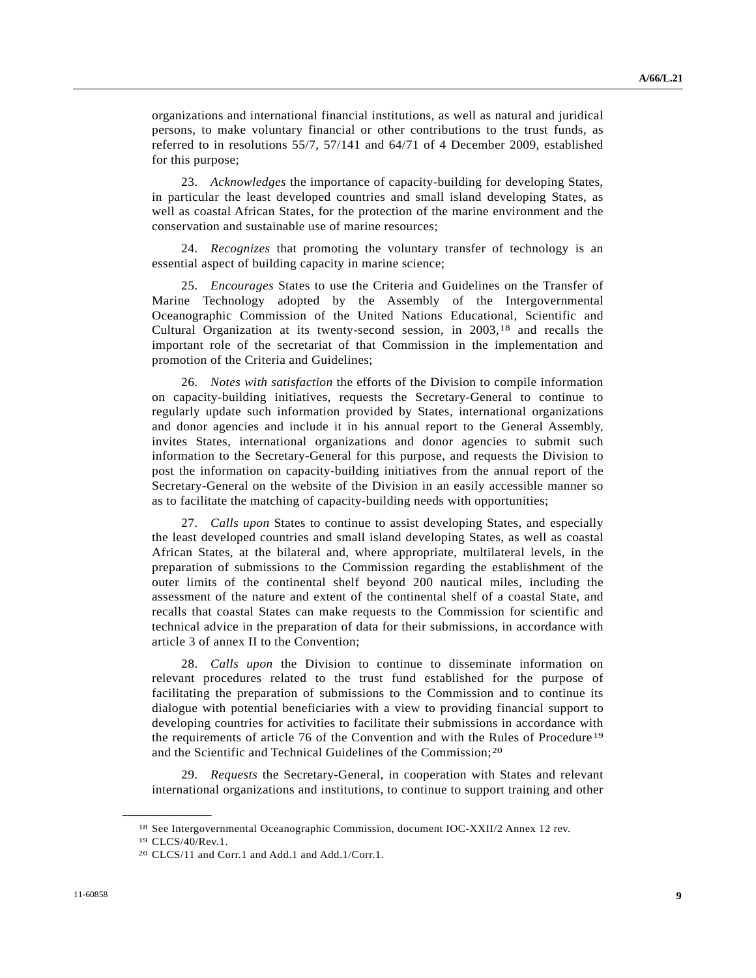organizations and international financial institutions, as well as natural and juridical persons, to make voluntary financial or other contributions to the trust funds, as referred to in resolutions 55/7, 57/141 and 64/71 of 4 December 2009, established for this purpose;

 23. *Acknowledges* the importance of capacity-building for developing States, in particular the least developed countries and small island developing States, as well as coastal African States, for the protection of the marine environment and the conservation and sustainable use of marine resources;

 24. *Recognizes* that promoting the voluntary transfer of technology is an essential aspect of building capacity in marine science;

 25. *Encourages* States to use the Criteria and Guidelines on the Transfer of Marine Technology adopted by the Assembly of the Intergovernmental Oceanographic Commission of the United Nations Educational, Scientific and Cultural Organization at its twenty-second session, in 2003,[1](#page-8-0)8 and recalls the important role of the secretariat of that Commission in the implementation and promotion of the Criteria and Guidelines;

 26. *Notes with satisfaction* the efforts of the Division to compile information on capacity-building initiatives, requests the Secretary-General to continue to regularly update such information provided by States, international organizations and donor agencies and include it in his annual report to the General Assembly, invites States, international organizations and donor agencies to submit such information to the Secretary-General for this purpose, and requests the Division to post the information on capacity-building initiatives from the annual report of the Secretary-General on the website of the Division in an easily accessible manner so as to facilitate the matching of capacity-building needs with opportunities;

 27. *Calls upon* States to continue to assist developing States, and especially the least developed countries and small island developing States, as well as coastal African States, at the bilateral and, where appropriate, multilateral levels, in the preparation of submissions to the Commission regarding the establishment of the outer limits of the continental shelf beyond 200 nautical miles, including the assessment of the nature and extent of the continental shelf of a coastal State, and recalls that coastal States can make requests to the Commission for scientific and technical advice in the preparation of data for their submissions, in accordance with article 3 of annex II to the Convention;

 28. *Calls upon* the Division to continue to disseminate information on relevant procedures related to the trust fund established for the purpose of facilitating the preparation of submissions to the Commission and to continue its dialogue with potential beneficiaries with a view to providing financial support to developing countries for activities to facilitate their submissions in accordance with the requirements of article 76 of the Convention and with the Rules of Procedure<sup>[19](#page-8-1)</sup> and the Scientific and Technical Guidelines of the Commission;[20](#page-8-2)

 29. *Requests* the Secretary-General, in cooperation with States and relevant international organizations and institutions, to continue to support training and other

<span id="page-8-1"></span><span id="page-8-0"></span><sup>18</sup> See Intergovernmental Oceanographic Commission, document IOC-XXII/2 Annex 12 rev. 19 CLCS/40/Rev.1.

<span id="page-8-2"></span><sup>20</sup> CLCS/11 and Corr.1 and Add.1 and Add.1/Corr.1.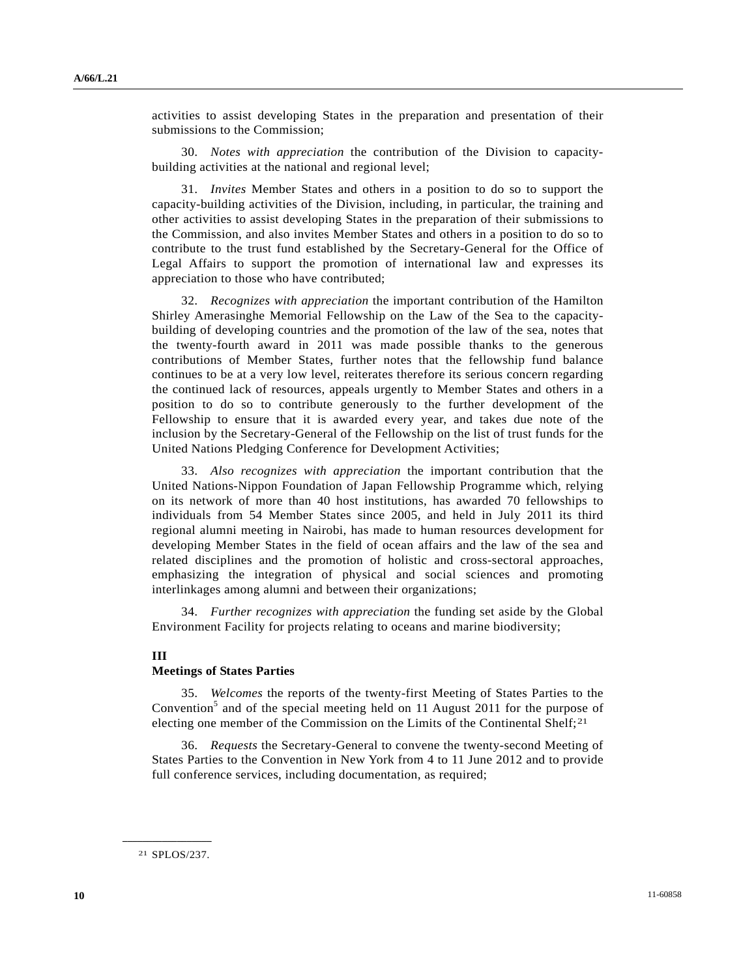activities to assist developing States in the preparation and presentation of their submissions to the Commission;

 30. *Notes with appreciation* the contribution of the Division to capacitybuilding activities at the national and regional level;

 31. *Invites* Member States and others in a position to do so to support the capacity-building activities of the Division, including, in particular, the training and other activities to assist developing States in the preparation of their submissions to the Commission, and also invites Member States and others in a position to do so to contribute to the trust fund established by the Secretary-General for the Office of Legal Affairs to support the promotion of international law and expresses its appreciation to those who have contributed;

 32. *Recognizes with appreciation* the important contribution of the Hamilton Shirley Amerasinghe Memorial Fellowship on the Law of the Sea to the capacitybuilding of developing countries and the promotion of the law of the sea, notes that the twenty-fourth award in 2011 was made possible thanks to the generous contributions of Member States, further notes that the fellowship fund balance continues to be at a very low level, reiterates therefore its serious concern regarding the continued lack of resources, appeals urgently to Member States and others in a position to do so to contribute generously to the further development of the Fellowship to ensure that it is awarded every year, and takes due note of the inclusion by the Secretary-General of the Fellowship on the list of trust funds for the United Nations Pledging Conference for Development Activities;

 33. *Also recognizes with appreciation* the important contribution that the United Nations-Nippon Foundation of Japan Fellowship Programme which, relying on its network of more than 40 host institutions, has awarded 70 fellowships to individuals from 54 Member States since 2005, and held in July 2011 its third regional alumni meeting in Nairobi, has made to human resources development for developing Member States in the field of ocean affairs and the law of the sea and related disciplines and the promotion of holistic and cross-sectoral approaches, emphasizing the integration of physical and social sciences and promoting interlinkages among alumni and between their organizations;

 34. *Further recognizes with appreciation* the funding set aside by the Global Environment Facility for projects relating to oceans and marine biodiversity;

## **III**

### **Meetings of States Parties**

 35. *Welcomes* the reports of the twenty-first Meeting of States Parties to the Convention<sup>5</sup> and of the special meeting held on 11 August 2011 for the purpose of electing one member of the Commission on the Limits of the Continental Shelf; $2<sup>1</sup>$ 

 36. *Requests* the Secretary-General to convene the twenty-second Meeting of States Parties to the Convention in New York from 4 to 11 June 2012 and to provide full conference services, including documentation, as required;

<span id="page-9-0"></span>**\_\_\_\_\_\_\_\_\_\_\_\_\_\_\_\_\_\_**  21 SPLOS/237.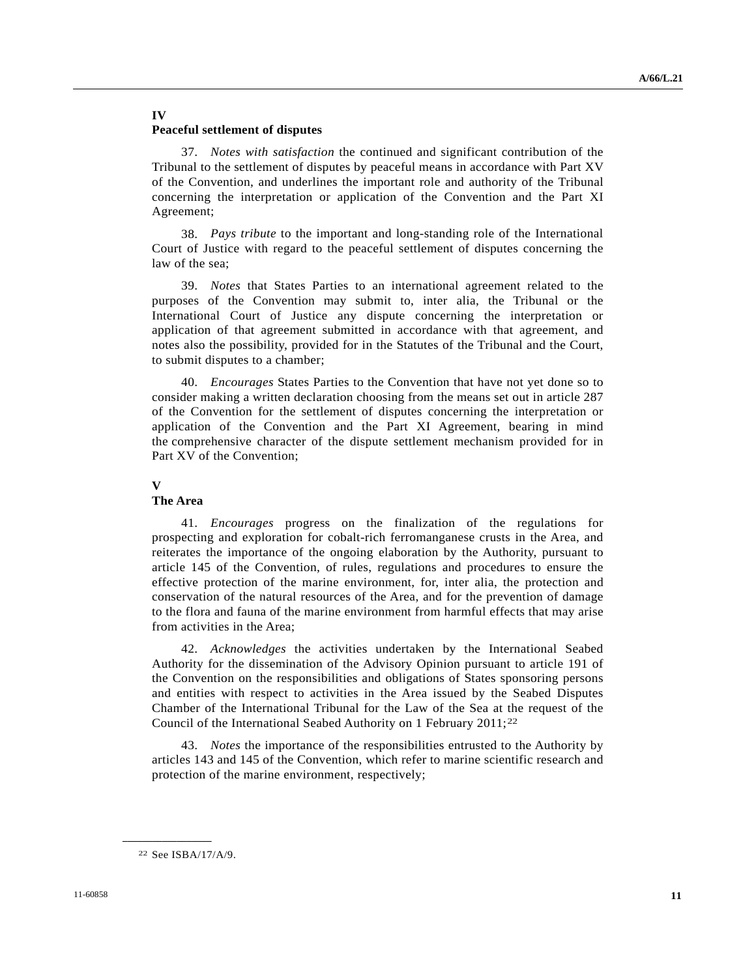# **IV**

#### **Peaceful settlement of disputes**

 37. *Notes with satisfaction* the continued and significant contribution of the Tribunal to the settlement of disputes by peaceful means in accordance with Part XV of the Convention, and underlines the important role and authority of the Tribunal concerning the interpretation or application of the Convention and the Part XI Agreement;

 38. *Pays tribute* to the important and long-standing role of the International Court of Justice with regard to the peaceful settlement of disputes concerning the law of the sea;

 39. *Notes* that States Parties to an international agreement related to the purposes of the Convention may submit to, inter alia, the Tribunal or the International Court of Justice any dispute concerning the interpretation or application of that agreement submitted in accordance with that agreement, and notes also the possibility, provided for in the Statutes of the Tribunal and the Court, to submit disputes to a chamber;

 40. *Encourages* States Parties to the Convention that have not yet done so to consider making a written declaration choosing from the means set out in article 287 of the Convention for the settlement of disputes concerning the interpretation or application of the Convention and the Part XI Agreement, bearing in mind the comprehensive character of the dispute settlement mechanism provided for in Part XV of the Convention;

## **V**

# **The Area**

 41. *Encourages* progress on the finalization of the regulations for prospecting and exploration for cobalt-rich ferromanganese crusts in the Area, and reiterates the importance of the ongoing elaboration by the Authority, pursuant to article 145 of the Convention, of rules, regulations and procedures to ensure the effective protection of the marine environment, for, inter alia, the protection and conservation of the natural resources of the Area, and for the prevention of damage to the flora and fauna of the marine environment from harmful effects that may arise from activities in the Area;

 42. *Acknowledges* the activities undertaken by the International Seabed Authority for the dissemination of the Advisory Opinion pursuant to article 191 of the Convention on the responsibilities and obligations of States sponsoring persons and entities with respect to activities in the Area issued by the Seabed Disputes Chamber of the International Tribunal for the Law of the Sea at the request of the Council of the International Seabed Authority on 1 February 2011;[2](#page-10-0)2

 43. *Notes* the importance of the responsibilities entrusted to the Authority by articles 143 and 145 of the Convention, which refer to marine scientific research and protection of the marine environment, respectively;

<span id="page-10-0"></span><sup>22</sup> See ISBA/17/A/9.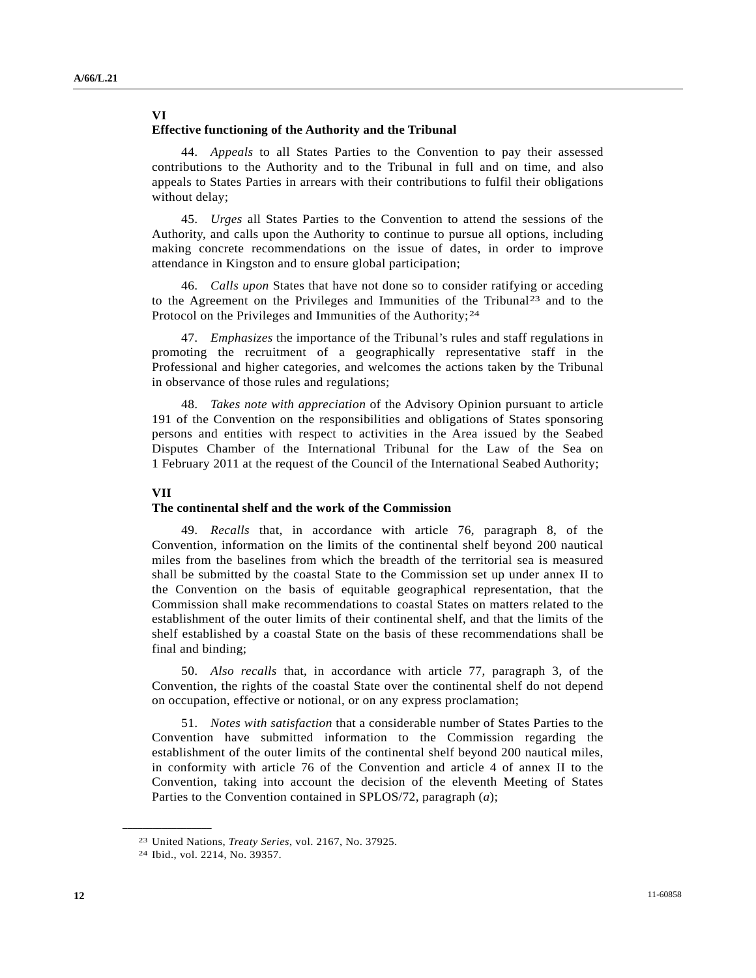## **VI**

#### **Effective functioning of the Authority and the Tribunal**

 44. *Appeals* to all States Parties to the Convention to pay their assessed contributions to the Authority and to the Tribunal in full and on time, and also appeals to States Parties in arrears with their contributions to fulfil their obligations without delay;

 45. *Urges* all States Parties to the Convention to attend the sessions of the Authority, and calls upon the Authority to continue to pursue all options, including making concrete recommendations on the issue of dates, in order to improve attendance in Kingston and to ensure global participation;

 46. *Calls upon* States that have not done so to consider ratifying or acceding to the Agreement on the Privileges and Immunities of the Tribunal[2](#page-11-0)3 and to the Protocol on the Privileges and Immunities of the Authority;<sup>[2](#page-11-1)4</sup>

 47. *Emphasizes* the importance of the Tribunal's rules and staff regulations in promoting the recruitment of a geographically representative staff in the Professional and higher categories, and welcomes the actions taken by the Tribunal in observance of those rules and regulations;

 48. *Takes note with appreciation* of the Advisory Opinion pursuant to article 191 of the Convention on the responsibilities and obligations of States sponsoring persons and entities with respect to activities in the Area issued by the Seabed Disputes Chamber of the International Tribunal for the Law of the Sea on 1 February 2011 at the request of the Council of the International Seabed Authority;

#### **VII**

#### **The continental shelf and the work of the Commission**

 49. *Recalls* that, in accordance with article 76, paragraph 8, of the Convention, information on the limits of the continental shelf beyond 200 nautical miles from the baselines from which the breadth of the territorial sea is measured shall be submitted by the coastal State to the Commission set up under annex II to the Convention on the basis of equitable geographical representation, that the Commission shall make recommendations to coastal States on matters related to the establishment of the outer limits of their continental shelf, and that the limits of the shelf established by a coastal State on the basis of these recommendations shall be final and binding;

 50. *Also recalls* that, in accordance with article 77, paragraph 3, of the Convention, the rights of the coastal State over the continental shelf do not depend on occupation, effective or notional, or on any express proclamation;

 51. *Notes with satisfaction* that a considerable number of States Parties to the Convention have submitted information to the Commission regarding the establishment of the outer limits of the continental shelf beyond 200 nautical miles, in conformity with article 76 of the Convention and article 4 of annex II to the Convention, taking into account the decision of the eleventh Meeting of States Parties to the Convention contained in SPLOS/72, paragraph (*a*);

<span id="page-11-1"></span><span id="page-11-0"></span><sup>23</sup> United Nations, *Treaty Series*, vol. 2167, No. 37925. 24 Ibid., vol. 2214, No. 39357.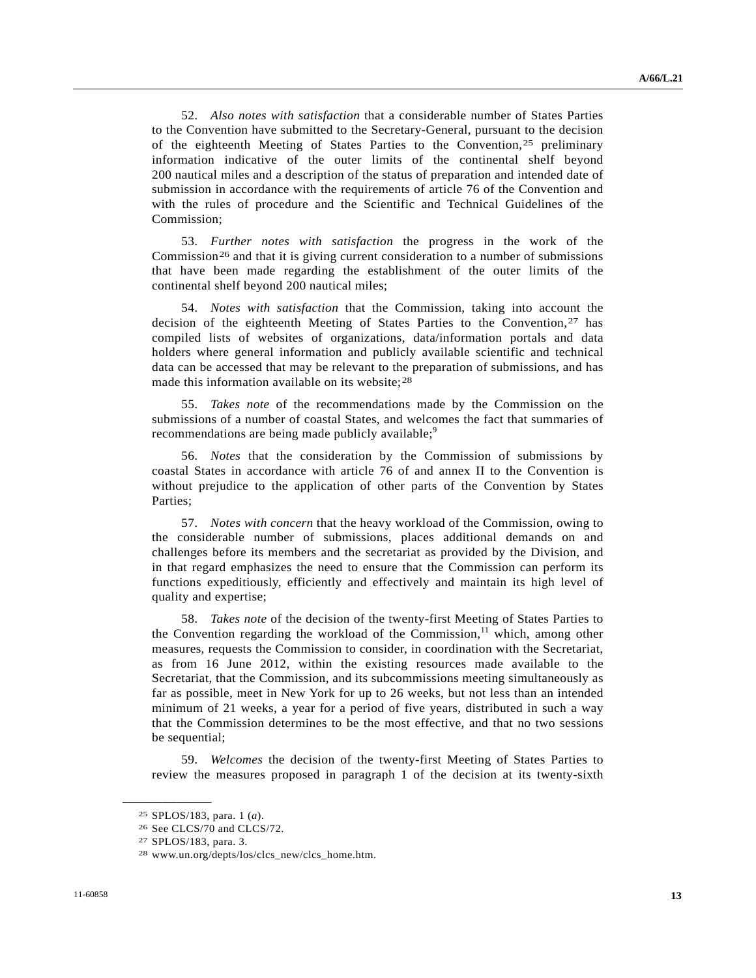52. *Also notes with satisfaction* that a considerable number of States Parties to the Convention have submitted to the Secretary-General, pursuant to the decision of the eighteenth Meeting of States Parties to the Convention,  $2^5$  preliminary information indicative of the outer limits of the continental shelf beyond 200 nautical miles and a description of the status of preparation and intended date of submission in accordance with the requirements of article 76 of the Convention and with the rules of procedure and the Scientific and Technical Guidelines of the Commission;

 53. *Further notes with satisfaction* the progress in the work of the Commission<sup>[26](#page-12-1)</sup> and that it is giving current consideration to a number of submissions that have been made regarding the establishment of the outer limits of the continental shelf beyond 200 nautical miles;

 54. *Notes with satisfaction* that the Commission, taking into account the decision of the eighteenth Meeting of States Parties to the Convention,[2](#page-12-2)7 has compiled lists of websites of organizations, data/information portals and data holders where general information and publicly available scientific and technical data can be accessed that may be relevant to the preparation of submissions, and has made this information available on its website;<sup>[28](#page-12-3)</sup>

 55. *Takes note* of the recommendations made by the Commission on the submissions of a number of coastal States, and welcomes the fact that summaries of recommendations are being made publicly available;<sup>9</sup>

 56. *Notes* that the consideration by the Commission of submissions by coastal States in accordance with article 76 of and annex II to the Convention is without prejudice to the application of other parts of the Convention by States Parties;

 57. *Notes with concern* that the heavy workload of the Commission, owing to the considerable number of submissions, places additional demands on and challenges before its members and the secretariat as provided by the Division, and in that regard emphasizes the need to ensure that the Commission can perform its functions expeditiously, efficiently and effectively and maintain its high level of quality and expertise;

 58. *Takes note* of the decision of the twenty-first Meeting of States Parties to the Convention regarding the workload of the Commission, $11$  which, among other measures, requests the Commission to consider, in coordination with the Secretariat, as from 16 June 2012, within the existing resources made available to the Secretariat, that the Commission, and its subcommissions meeting simultaneously as far as possible, meet in New York for up to 26 weeks, but not less than an intended minimum of 21 weeks, a year for a period of five years, distributed in such a way that the Commission determines to be the most effective, and that no two sessions be sequential;

 59. *Welcomes* the decision of the twenty-first Meeting of States Parties to review the measures proposed in paragraph 1 of the decision at its twenty-sixth

<span id="page-12-1"></span><span id="page-12-0"></span><sup>25</sup> SPLOS/183, para. 1 (*a*). 26 See CLCS/70 and CLCS/72.

<span id="page-12-2"></span><sup>27</sup> SPLOS/183, para. 3.

<span id="page-12-3"></span><sup>28</sup> www.un.org/depts/los/clcs\_new/clcs\_home.htm.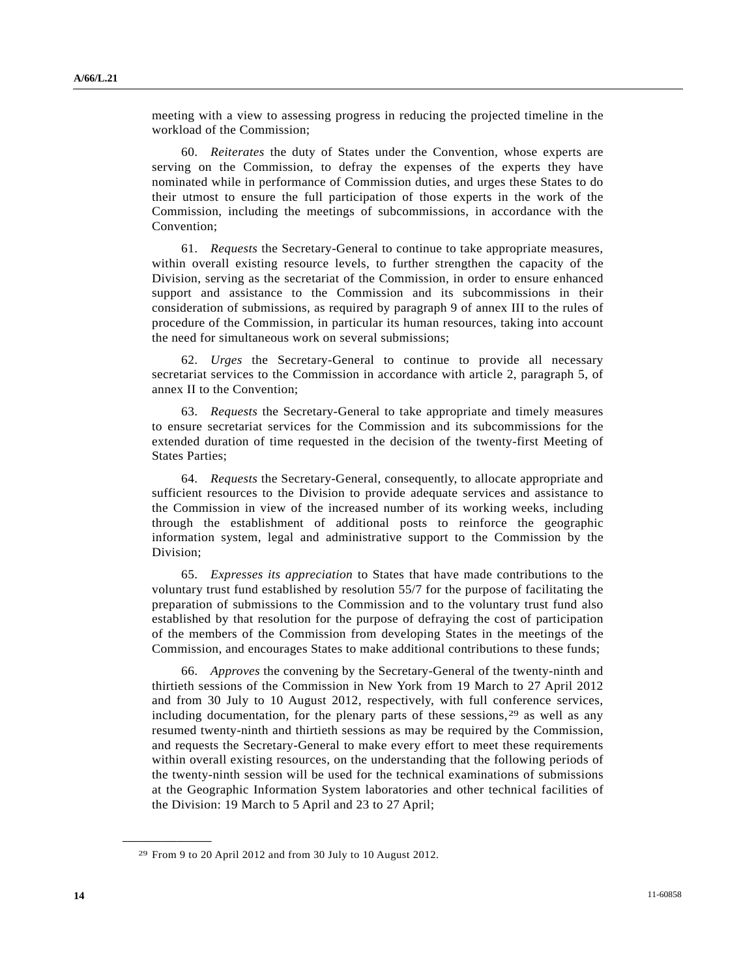meeting with a view to assessing progress in reducing the projected timeline in the workload of the Commission;

 60. *Reiterates* the duty of States under the Convention, whose experts are serving on the Commission, to defray the expenses of the experts they have nominated while in performance of Commission duties, and urges these States to do their utmost to ensure the full participation of those experts in the work of the Commission, including the meetings of subcommissions, in accordance with the Convention;

 61. *Requests* the Secretary-General to continue to take appropriate measures, within overall existing resource levels, to further strengthen the capacity of the Division, serving as the secretariat of the Commission, in order to ensure enhanced support and assistance to the Commission and its subcommissions in their consideration of submissions, as required by paragraph 9 of annex III to the rules of procedure of the Commission, in particular its human resources, taking into account the need for simultaneous work on several submissions;

 62. *Urges* the Secretary-General to continue to provide all necessary secretariat services to the Commission in accordance with article 2, paragraph 5, of annex II to the Convention;

 63. *Requests* the Secretary-General to take appropriate and timely measures to ensure secretariat services for the Commission and its subcommissions for the extended duration of time requested in the decision of the twenty-first Meeting of States Parties;

 64. *Requests* the Secretary-General, consequently, to allocate appropriate and sufficient resources to the Division to provide adequate services and assistance to the Commission in view of the increased number of its working weeks, including through the establishment of additional posts to reinforce the geographic information system, legal and administrative support to the Commission by the Division;

 65. *Expresses its appreciation* to States that have made contributions to the voluntary trust fund established by resolution 55/7 for the purpose of facilitating the preparation of submissions to the Commission and to the voluntary trust fund also established by that resolution for the purpose of defraying the cost of participation of the members of the Commission from developing States in the meetings of the Commission, and encourages States to make additional contributions to these funds;

 66. *Approves* the convening by the Secretary-General of the twenty-ninth and thirtieth sessions of the Commission in New York from 19 March to 27 April 2012 and from 30 July to 10 August 2012, respectively, with full conference services, including documentation, for the plenary parts of these sessions,  $29$  $29$  as well as any resumed twenty-ninth and thirtieth sessions as may be required by the Commission, and requests the Secretary-General to make every effort to meet these requirements within overall existing resources, on the understanding that the following periods of the twenty-ninth session will be used for the technical examinations of submissions at the Geographic Information System laboratories and other technical facilities of the Division: 19 March to 5 April and 23 to 27 April;

<span id="page-13-0"></span><sup>29</sup> From 9 to 20 April 2012 and from 30 July to 10 August 2012.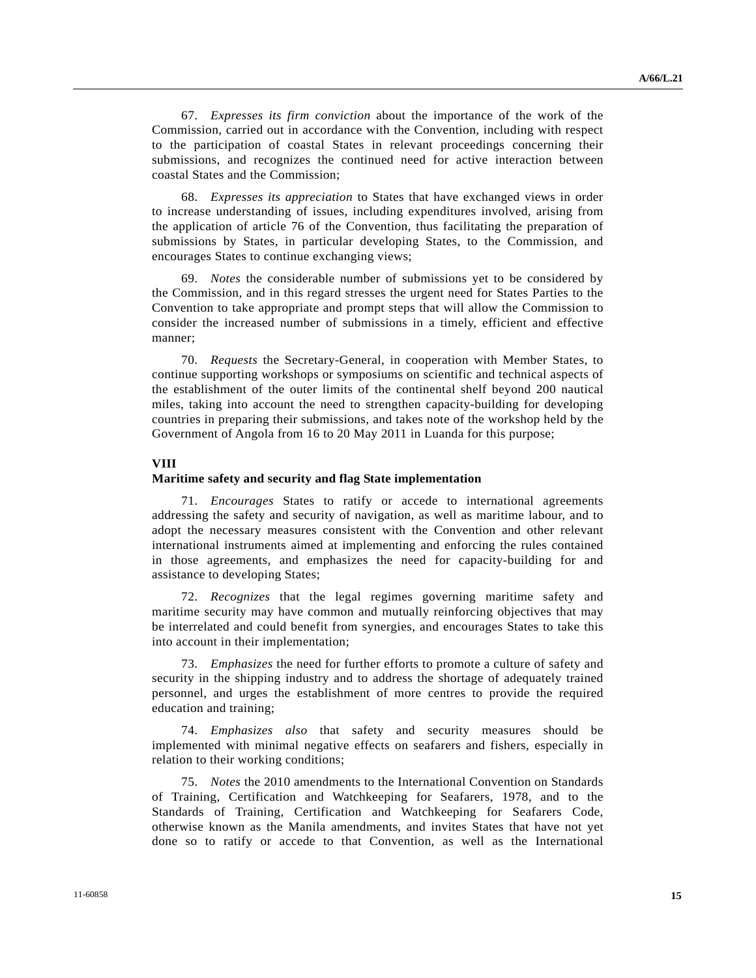67. *Expresses its firm conviction* about the importance of the work of the Commission, carried out in accordance with the Convention, including with respect to the participation of coastal States in relevant proceedings concerning their submissions, and recognizes the continued need for active interaction between coastal States and the Commission;

 68. *Expresses its appreciation* to States that have exchanged views in order to increase understanding of issues, including expenditures involved, arising from the application of article 76 of the Convention, thus facilitating the preparation of submissions by States, in particular developing States, to the Commission, and encourages States to continue exchanging views;

 69. *Notes* the considerable number of submissions yet to be considered by the Commission, and in this regard stresses the urgent need for States Parties to the Convention to take appropriate and prompt steps that will allow the Commission to consider the increased number of submissions in a timely, efficient and effective manner;

 70. *Requests* the Secretary-General, in cooperation with Member States, to continue supporting workshops or symposiums on scientific and technical aspects of the establishment of the outer limits of the continental shelf beyond 200 nautical miles, taking into account the need to strengthen capacity-building for developing countries in preparing their submissions, and takes note of the workshop held by the Government of Angola from 16 to 20 May 2011 in Luanda for this purpose;

### **VIII**

#### **Maritime safety and security and flag State implementation**

 71. *Encourages* States to ratify or accede to international agreements addressing the safety and security of navigation, as well as maritime labour, and to adopt the necessary measures consistent with the Convention and other relevant international instruments aimed at implementing and enforcing the rules contained in those agreements, and emphasizes the need for capacity-building for and assistance to developing States;

 72. *Recognizes* that the legal regimes governing maritime safety and maritime security may have common and mutually reinforcing objectives that may be interrelated and could benefit from synergies, and encourages States to take this into account in their implementation;

 73. *Emphasizes* the need for further efforts to promote a culture of safety and security in the shipping industry and to address the shortage of adequately trained personnel, and urges the establishment of more centres to provide the required education and training;

 74. *Emphasizes also* that safety and security measures should be implemented with minimal negative effects on seafarers and fishers, especially in relation to their working conditions;

 75. *Notes* the 2010 amendments to the International Convention on Standards of Training, Certification and Watchkeeping for Seafarers, 1978, and to the Standards of Training, Certification and Watchkeeping for Seafarers Code, otherwise known as the Manila amendments, and invites States that have not yet done so to ratify or accede to that Convention, as well as the International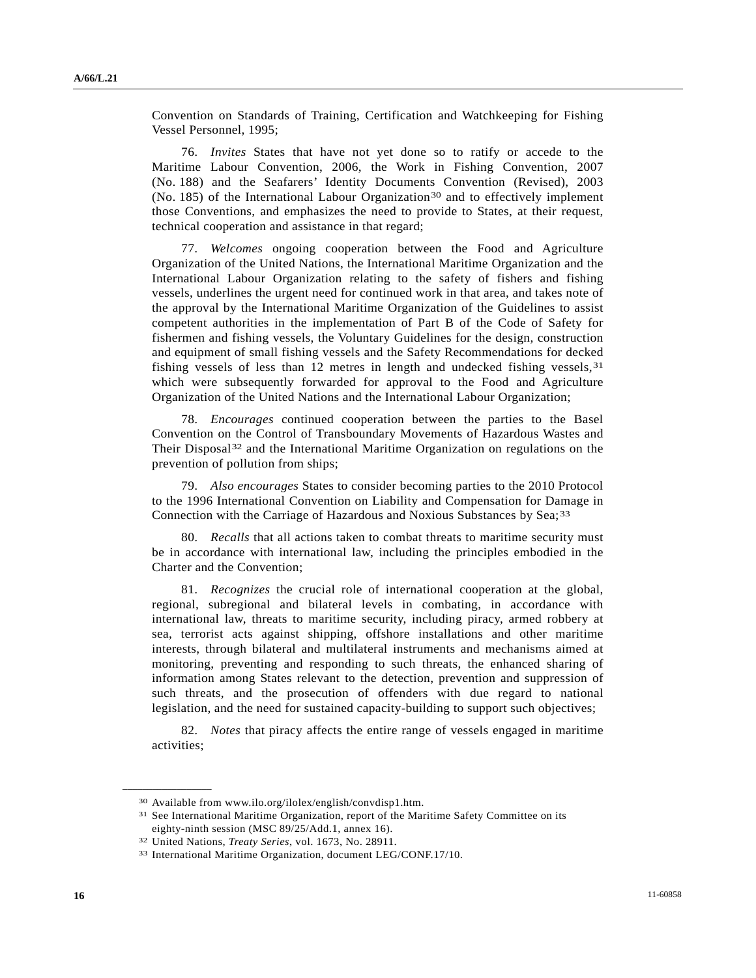Convention on Standards of Training, Certification and Watchkeeping for Fishing Vessel Personnel, 1995;

 76. *Invites* States that have not yet done so to ratify or accede to the Maritime Labour Convention, 2006, the Work in Fishing Convention, 2007 (No. 188) and the Seafarers' Identity Documents Convention (Revised), 2003 (No. 185) of the International Labour Organization<sup>[3](#page-15-0)0</sup> and to effectively implement those Conventions, and emphasizes the need to provide to States, at their request, technical cooperation and assistance in that regard;

 77. *Welcomes* ongoing cooperation between the Food and Agriculture Organization of the United Nations, the International Maritime Organization and the International Labour Organization relating to the safety of fishers and fishing vessels, underlines the urgent need for continued work in that area, and takes note of the approval by the International Maritime Organization of the Guidelines to assist competent authorities in the implementation of Part B of the Code of Safety for fishermen and fishing vessels, the Voluntary Guidelines for the design, construction and equipment of small fishing vessels and the Safety Recommendations for decked fishing vessels of less than 12 metres in length and undecked fishing vessels,[31](#page-15-1) which were subsequently forwarded for approval to the Food and Agriculture Organization of the United Nations and the International Labour Organization;

 78. *Encourages* continued cooperation between the parties to the Basel Convention on the Control of Transboundary Movements of Hazardous Wastes and Their Disposal[3](#page-15-2)2 and the International Maritime Organization on regulations on the prevention of pollution from ships;

 79. *Also encourages* States to consider becoming parties to the 2010 Protocol to the 1996 International Convention on Liability and Compensation for Damage in Connection with the Carriage of Hazardous and Noxious Substances by Sea;<sup>[33](#page-15-3)</sup>

 80. *Recalls* that all actions taken to combat threats to maritime security must be in accordance with international law, including the principles embodied in the Charter and the Convention;

 81. *Recognizes* the crucial role of international cooperation at the global, regional, subregional and bilateral levels in combating, in accordance with international law, threats to maritime security, including piracy, armed robbery at sea, terrorist acts against shipping, offshore installations and other maritime interests, through bilateral and multilateral instruments and mechanisms aimed at monitoring, preventing and responding to such threats, the enhanced sharing of information among States relevant to the detection, prevention and suppression of such threats, and the prosecution of offenders with due regard to national legislation, and the need for sustained capacity-building to support such objectives;

 82. *Notes* that piracy affects the entire range of vessels engaged in maritime activities;

<span id="page-15-0"></span><sup>30</sup> Available from www.ilo.org/ilolex/english/convdisp1.htm.

<span id="page-15-1"></span><sup>31</sup> See International Maritime Organization, report of the Maritime Safety Committee on its eighty-ninth session (MSC 89/25/Add.1, annex 16).

<span id="page-15-3"></span><span id="page-15-2"></span><sup>32</sup> United Nations, *Treaty Series*, vol. 1673, No. 28911. 33 International Maritime Organization, document LEG/CONF.17/10.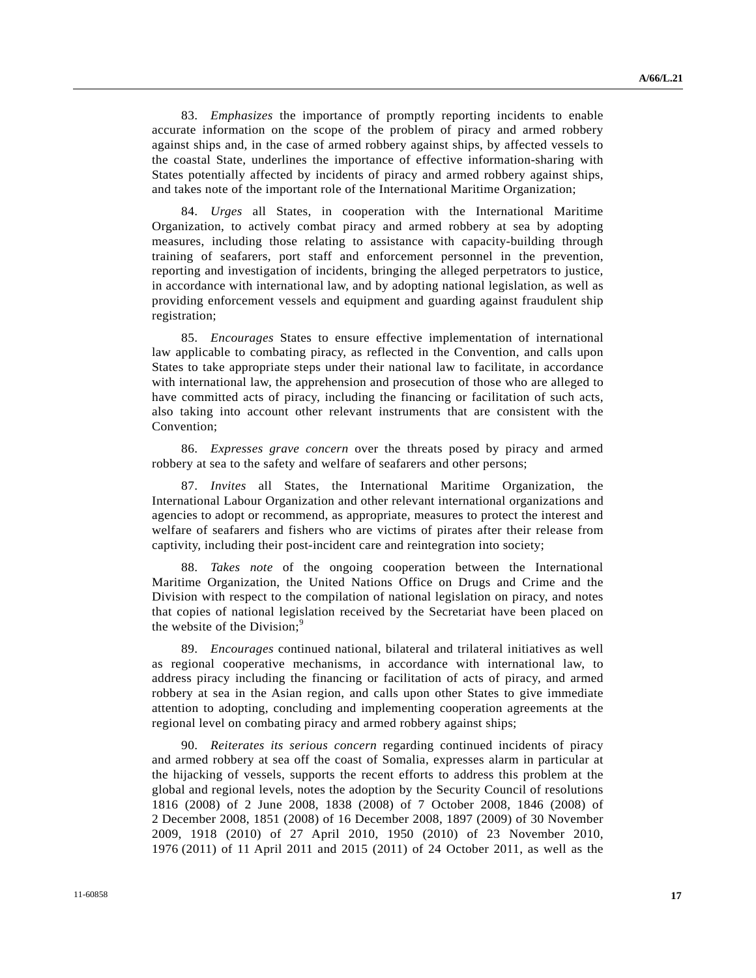83. *Emphasizes* the importance of promptly reporting incidents to enable accurate information on the scope of the problem of piracy and armed robbery against ships and, in the case of armed robbery against ships, by affected vessels to the coastal State, underlines the importance of effective information-sharing with States potentially affected by incidents of piracy and armed robbery against ships, and takes note of the important role of the International Maritime Organization;

 84. *Urges* all States, in cooperation with the International Maritime Organization, to actively combat piracy and armed robbery at sea by adopting measures, including those relating to assistance with capacity-building through training of seafarers, port staff and enforcement personnel in the prevention, reporting and investigation of incidents, bringing the alleged perpetrators to justice, in accordance with international law, and by adopting national legislation, as well as providing enforcement vessels and equipment and guarding against fraudulent ship registration;

 85. *Encourages* States to ensure effective implementation of international law applicable to combating piracy, as reflected in the Convention, and calls upon States to take appropriate steps under their national law to facilitate, in accordance with international law, the apprehension and prosecution of those who are alleged to have committed acts of piracy, including the financing or facilitation of such acts, also taking into account other relevant instruments that are consistent with the Convention;

 86. *Expresses grave concern* over the threats posed by piracy and armed robbery at sea to the safety and welfare of seafarers and other persons;

 87. *Invites* all States, the International Maritime Organization, the International Labour Organization and other relevant international organizations and agencies to adopt or recommend, as appropriate, measures to protect the interest and welfare of seafarers and fishers who are victims of pirates after their release from captivity, including their post-incident care and reintegration into society;

 88. *Takes note* of the ongoing cooperation between the International Maritime Organization, the United Nations Office on Drugs and Crime and the Division with respect to the compilation of national legislation on piracy, and notes that copies of national legislation received by the Secretariat have been placed on the website of the Division; $9$ 

 89. *Encourages* continued national, bilateral and trilateral initiatives as well as regional cooperative mechanisms, in accordance with international law, to address piracy including the financing or facilitation of acts of piracy, and armed robbery at sea in the Asian region, and calls upon other States to give immediate attention to adopting, concluding and implementing cooperation agreements at the regional level on combating piracy and armed robbery against ships;

 90. *Reiterates its serious concern* regarding continued incidents of piracy and armed robbery at sea off the coast of Somalia, expresses alarm in particular at the hijacking of vessels, supports the recent efforts to address this problem at the global and regional levels, notes the adoption by the Security Council of resolutions 1816 (2008) of 2 June 2008, 1838 (2008) of 7 October 2008, 1846 (2008) of 2 December 2008, 1851 (2008) of 16 December 2008, 1897 (2009) of 30 November 2009, 1918 (2010) of 27 April 2010, 1950 (2010) of 23 November 2010, 1976 (2011) of 11 April 2011 and 2015 (2011) of 24 October 2011, as well as the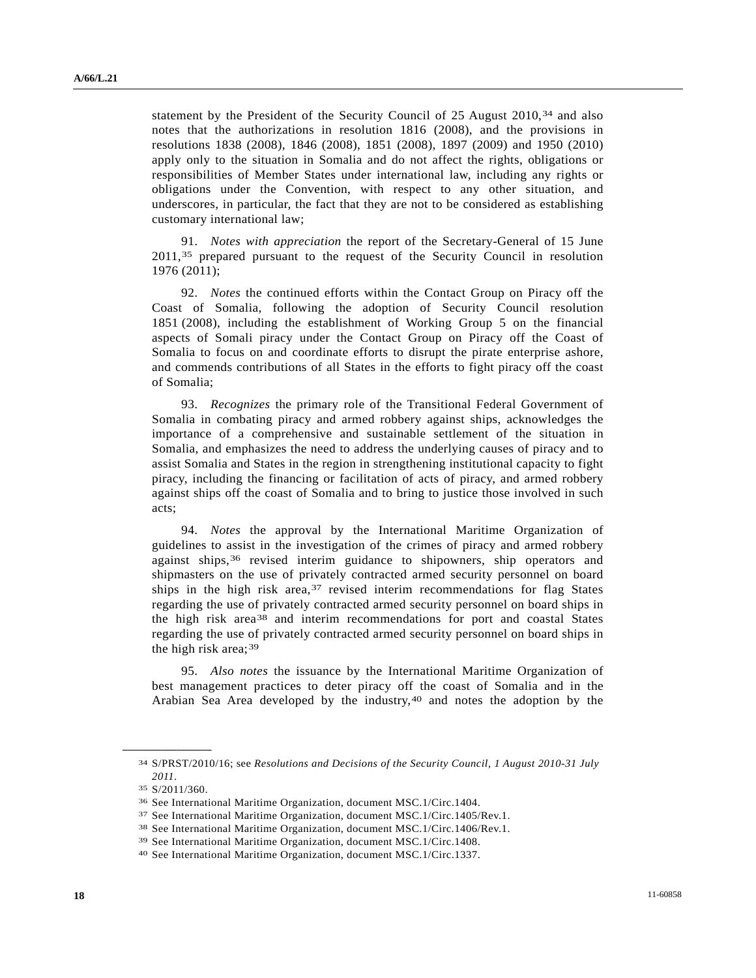statement by the President of the Security Council of 25 August 2010,<sup>[34](#page-17-0)</sup> and also notes that the authorizations in resolution 1816 (2008), and the provisions in resolutions 1838 (2008), 1846 (2008), 1851 (2008), 1897 (2009) and 1950 (2010) apply only to the situation in Somalia and do not affect the rights, obligations or responsibilities of Member States under international law, including any rights or obligations under the Convention, with respect to any other situation, and underscores, in particular, the fact that they are not to be considered as establishing customary international law;

 91. *Notes with appreciation* the report of the Secretary-General of 15 June 2011,[35](#page-17-1) prepared pursuant to the request of the Security Council in resolution 1976 (2011);

 92. *Notes* the continued efforts within the Contact Group on Piracy off the Coast of Somalia, following the adoption of Security Council resolution 1851 (2008), including the establishment of Working Group 5 on the financial aspects of Somali piracy under the Contact Group on Piracy off the Coast of Somalia to focus on and coordinate efforts to disrupt the pirate enterprise ashore, and commends contributions of all States in the efforts to fight piracy off the coast of Somalia;

 93. *Recognizes* the primary role of the Transitional Federal Government of Somalia in combating piracy and armed robbery against ships, acknowledges the importance of a comprehensive and sustainable settlement of the situation in Somalia, and emphasizes the need to address the underlying causes of piracy and to assist Somalia and States in the region in strengthening institutional capacity to fight piracy, including the financing or facilitation of acts of piracy, and armed robbery against ships off the coast of Somalia and to bring to justice those involved in such acts;

 94. *Notes* the approval by the International Maritime Organization of guidelines to assist in the investigation of the crimes of piracy and armed robbery against ships,[36](#page-17-2) revised interim guidance to shipowners, ship operators and shipmasters on the use of privately contracted armed security personnel on board ships in the high risk area,<sup>[3](#page-17-3)7</sup> revised interim recommendations for flag States regarding the use of privately contracted armed security personnel on board ships in the high risk area[3](#page-17-4)8 and interim recommendations for port and coastal States regarding the use of privately contracted armed security personnel on board ships in the high risk area;[39](#page-17-5)

 95. *Also notes* the issuance by the International Maritime Organization of best management practices to deter piracy off the coast of Somalia and in the Arabian Sea Area developed by the industry, $40$  and notes the adoption by the

<span id="page-17-0"></span><sup>34</sup> S/PRST/2010/16; see *Resolutions and Decisions of the Security Council, 1 August 2010-31 July <sup>2011</sup>*. 35 S/2011/360.

<span id="page-17-3"></span><span id="page-17-2"></span><span id="page-17-1"></span><sup>&</sup>lt;sup>36</sup> See International Maritime Organization, document MSC.1/Circ.1404.<br><sup>37</sup> See International Maritime Organization, document MSC.1/Circ.1405/Rev.1.<br><sup>38</sup> See International Maritime Organization, document MSC.1/Circ.1406/R

<span id="page-17-4"></span>

<span id="page-17-6"></span><span id="page-17-5"></span>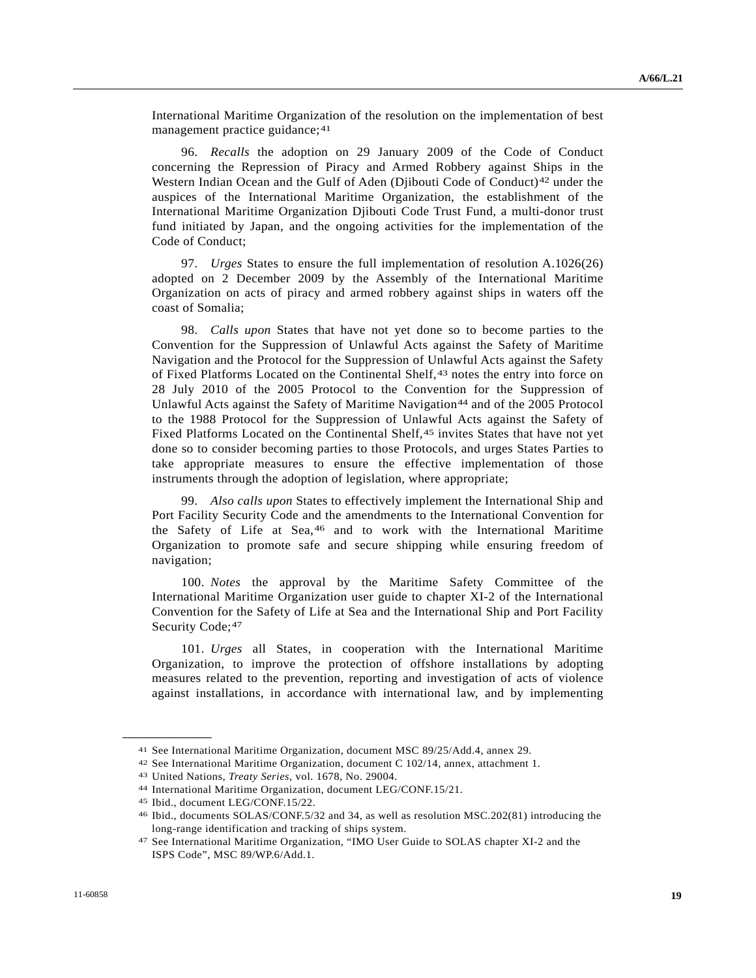International Maritime Organization of the resolution on the implementation of best management practice guidance; <sup>[41](#page-18-0)</sup>

 96. *Recalls* the adoption on 29 January 2009 of the Code of Conduct concerning the Repression of Piracy and Armed Robbery against Ships in the Western Indian Ocean and the Gulf of Aden (Djibouti Code of Conduct)<sup>[4](#page-18-1)2</sup> under the auspices of the International Maritime Organization, the establishment of the International Maritime Organization Djibouti Code Trust Fund, a multi-donor trust fund initiated by Japan, and the ongoing activities for the implementation of the Code of Conduct;

 97. *Urges* States to ensure the full implementation of resolution A.1026(26) adopted on 2 December 2009 by the Assembly of the International Maritime Organization on acts of piracy and armed robbery against ships in waters off the coast of Somalia;

 98. *Calls upon* States that have not yet done so to become parties to the Convention for the Suppression of Unlawful Acts against the Safety of Maritime Navigation and the Protocol for the Suppression of Unlawful Acts against the Safety of Fixed Platforms Located on the Continental Shelf,[43](#page-18-2) notes the entry into force on 28 July 2010 of the 2005 Protocol to the Convention for the Suppression of Unlawful Acts against the Safety of Maritime Navigation[44](#page-18-3) and of the 2005 Protocol to the 1988 Protocol for the Suppression of Unlawful Acts against the Safety of Fixed Platforms Located on the Continental Shelf,<sup>[4](#page-18-4)5</sup> invites States that have not yet done so to consider becoming parties to those Protocols, and urges States Parties to take appropriate measures to ensure the effective implementation of those instruments through the adoption of legislation, where appropriate;

 99. *Also calls upon* States to effectively implement the International Ship and Port Facility Security Code and the amendments to the International Convention for the Safety of Life at Sea,[46](#page-18-5) and to work with the International Maritime Organization to promote safe and secure shipping while ensuring freedom of navigation;

 100. *Notes* the approval by the Maritime Safety Committee of the International Maritime Organization user guide to chapter XI-2 of the International Convention for the Safety of Life at Sea and the International Ship and Port Facility Security Code; [4](#page-18-6)7

 101. *Urges* all States, in cooperation with the International Maritime Organization, to improve the protection of offshore installations by adopting measures related to the prevention, reporting and investigation of acts of violence against installations, in accordance with international law, and by implementing

<span id="page-18-1"></span><span id="page-18-0"></span><sup>&</sup>lt;sup>41</sup> See International Maritime Organization, document MSC 89/25/Add.4, annex 29.<br><sup>42</sup> See International Maritime Organization, document C 102/14, annex, attachment 1.<br><sup>43</sup> United Nations, *Treaty Series*, vol. 1678, No. 2

<span id="page-18-3"></span><span id="page-18-2"></span>

<span id="page-18-5"></span><span id="page-18-4"></span><sup>46</sup> Ibid., documents SOLAS/CONF.5/32 and 34, as well as resolution MSC.202(81) introducing the long-range identification and tracking of ships system.

<span id="page-18-6"></span><sup>47</sup> See International Maritime Organization, "IMO User Guide to SOLAS chapter XI-2 and the ISPS Code", MSC 89/WP.6/Add.1.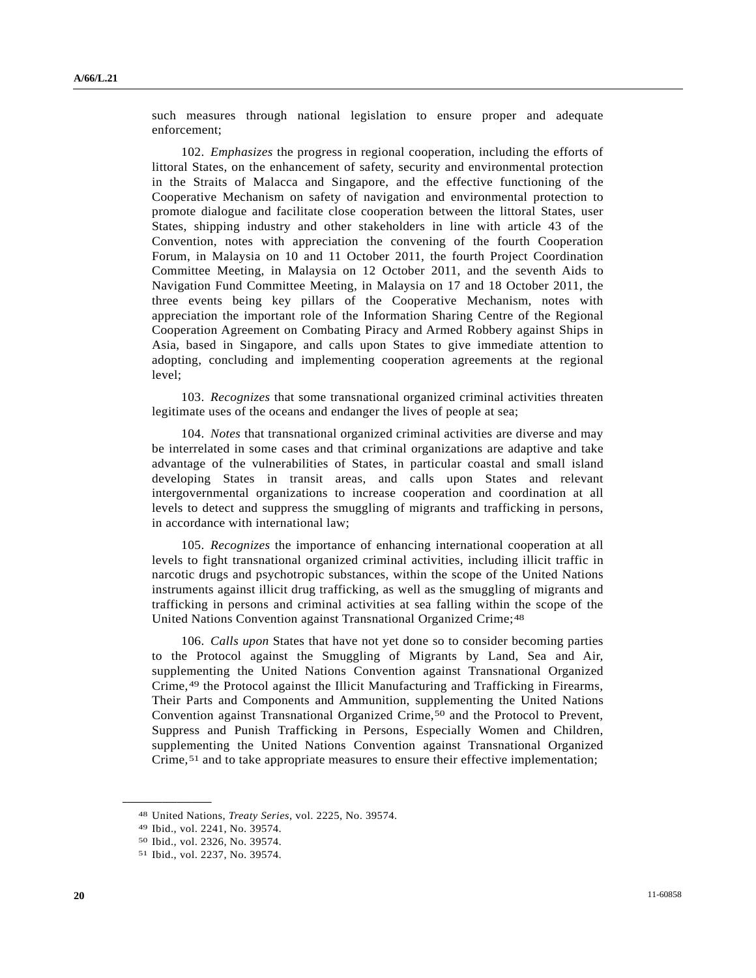such measures through national legislation to ensure proper and adequate enforcement;

 102. *Emphasizes* the progress in regional cooperation, including the efforts of littoral States, on the enhancement of safety, security and environmental protection in the Straits of Malacca and Singapore, and the effective functioning of the Cooperative Mechanism on safety of navigation and environmental protection to promote dialogue and facilitate close cooperation between the littoral States, user States, shipping industry and other stakeholders in line with article 43 of the Convention, notes with appreciation the convening of the fourth Cooperation Forum, in Malaysia on 10 and 11 October 2011, the fourth Project Coordination Committee Meeting, in Malaysia on 12 October 2011, and the seventh Aids to Navigation Fund Committee Meeting, in Malaysia on 17 and 18 October 2011, the three events being key pillars of the Cooperative Mechanism, notes with appreciation the important role of the Information Sharing Centre of the Regional Cooperation Agreement on Combating Piracy and Armed Robbery against Ships in Asia, based in Singapore, and calls upon States to give immediate attention to adopting, concluding and implementing cooperation agreements at the regional level;

 103. *Recognizes* that some transnational organized criminal activities threaten legitimate uses of the oceans and endanger the lives of people at sea;

 104. *Notes* that transnational organized criminal activities are diverse and may be interrelated in some cases and that criminal organizations are adaptive and take advantage of the vulnerabilities of States, in particular coastal and small island developing States in transit areas, and calls upon States and relevant intergovernmental organizations to increase cooperation and coordination at all levels to detect and suppress the smuggling of migrants and trafficking in persons, in accordance with international law;

 105. *Recognizes* the importance of enhancing international cooperation at all levels to fight transnational organized criminal activities, including illicit traffic in narcotic drugs and psychotropic substances, within the scope of the United Nations instruments against illicit drug trafficking, as well as the smuggling of migrants and trafficking in persons and criminal activities at sea falling within the scope of the United Nations Convention against Transnational Organized Crime;<sup>[48](#page-19-0)</sup>

 106. *Calls upon* States that have not yet done so to consider becoming parties to the Protocol against the Smuggling of Migrants by Land, Sea and Air, supplementing the United Nations Convention against Transnational Organized Crime,[4](#page-19-1)9 the Protocol against the Illicit Manufacturing and Trafficking in Firearms, Their Parts and Components and Ammunition, supplementing the United Nations Convention against Transnational Organized Crime,[5](#page-19-2)0 and the Protocol to Prevent, Suppress and Punish Trafficking in Persons, Especially Women and Children, supplementing the United Nations Convention against Transnational Organized Crime,[5](#page-19-3)1 and to take appropriate measures to ensure their effective implementation;

<span id="page-19-1"></span><span id="page-19-0"></span><sup>48</sup> United Nations, *Treaty Series*, vol. 2225, No. 39574. 49 Ibid., vol. 2241, No. 39574.

<span id="page-19-2"></span><sup>50</sup> Ibid., vol. 2326, No. 39574.

<span id="page-19-3"></span><sup>51</sup> Ibid., vol. 2237, No. 39574.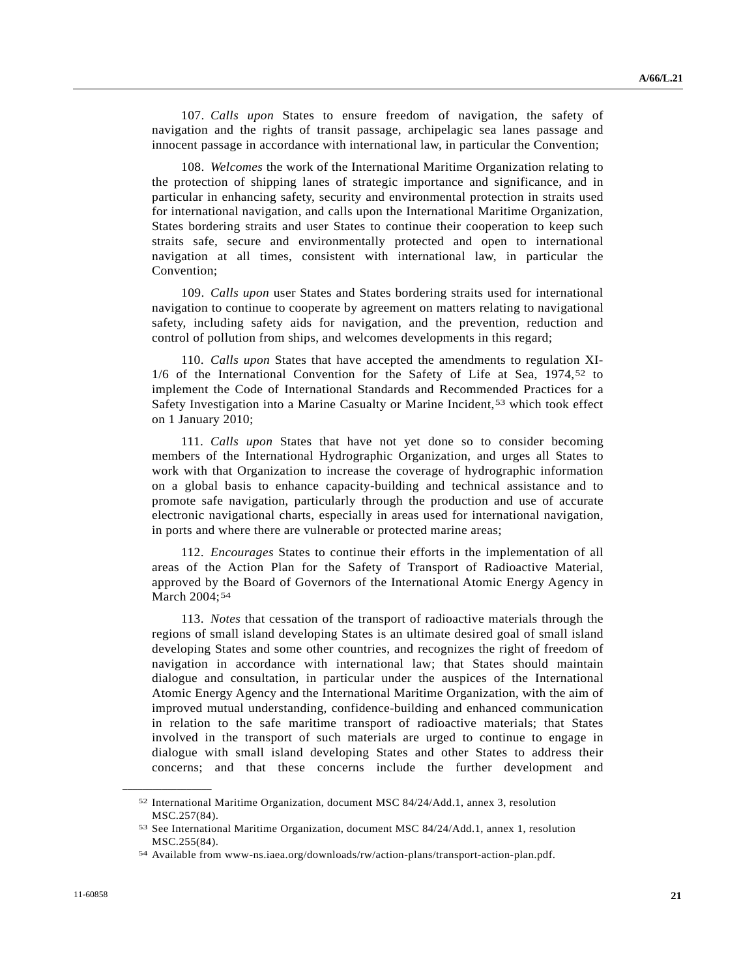107. *Calls upon* States to ensure freedom of navigation, the safety of navigation and the rights of transit passage, archipelagic sea lanes passage and innocent passage in accordance with international law, in particular the Convention;

 108. *Welcomes* the work of the International Maritime Organization relating to the protection of shipping lanes of strategic importance and significance, and in particular in enhancing safety, security and environmental protection in straits used for international navigation, and calls upon the International Maritime Organization, States bordering straits and user States to continue their cooperation to keep such straits safe, secure and environmentally protected and open to international navigation at all times, consistent with international law, in particular the Convention;

 109. *Calls upon* user States and States bordering straits used for international navigation to continue to cooperate by agreement on matters relating to navigational safety, including safety aids for navigation, and the prevention, reduction and control of pollution from ships, and welcomes developments in this regard;

 110. *Calls upon* States that have accepted the amendments to regulation XI- $1/6$  of the International Convention for the Safety of Life at Sea,  $1974,52$  $1974,52$  $1974,52$  to implement the Code of International Standards and Recommended Practices for a Safety Investigation into a Marine Casualty or Marine Incident,[5](#page-20-1)3 which took effect on 1 January 2010;

 111. *Calls upon* States that have not yet done so to consider becoming members of the International Hydrographic Organization, and urges all States to work with that Organization to increase the coverage of hydrographic information on a global basis to enhance capacity-building and technical assistance and to promote safe navigation, particularly through the production and use of accurate electronic navigational charts, especially in areas used for international navigation, in ports and where there are vulnerable or protected marine areas;

 112. *Encourages* States to continue their efforts in the implementation of all areas of the Action Plan for the Safety of Transport of Radioactive Material, approved by the Board of Governors of the International Atomic Energy Agency in March 2004;<sup>[54](#page-20-2)</sup>

 113. *Notes* that cessation of the transport of radioactive materials through the regions of small island developing States is an ultimate desired goal of small island developing States and some other countries, and recognizes the right of freedom of navigation in accordance with international law; that States should maintain dialogue and consultation, in particular under the auspices of the International Atomic Energy Agency and the International Maritime Organization, with the aim of improved mutual understanding, confidence-building and enhanced communication in relation to the safe maritime transport of radioactive materials; that States involved in the transport of such materials are urged to continue to engage in dialogue with small island developing States and other States to address their concerns; and that these concerns include the further development and

<span id="page-20-0"></span><sup>52</sup> International Maritime Organization, document MSC 84/24/Add.1, annex 3, resolution MSC.257(84).

<span id="page-20-1"></span><sup>53</sup> See International Maritime Organization, document MSC 84/24/Add.1, annex 1, resolution MSC.255(84).

<span id="page-20-2"></span><sup>54</sup> Available from www-ns.iaea.org/downloads/rw/action-plans/transport-action-plan.pdf.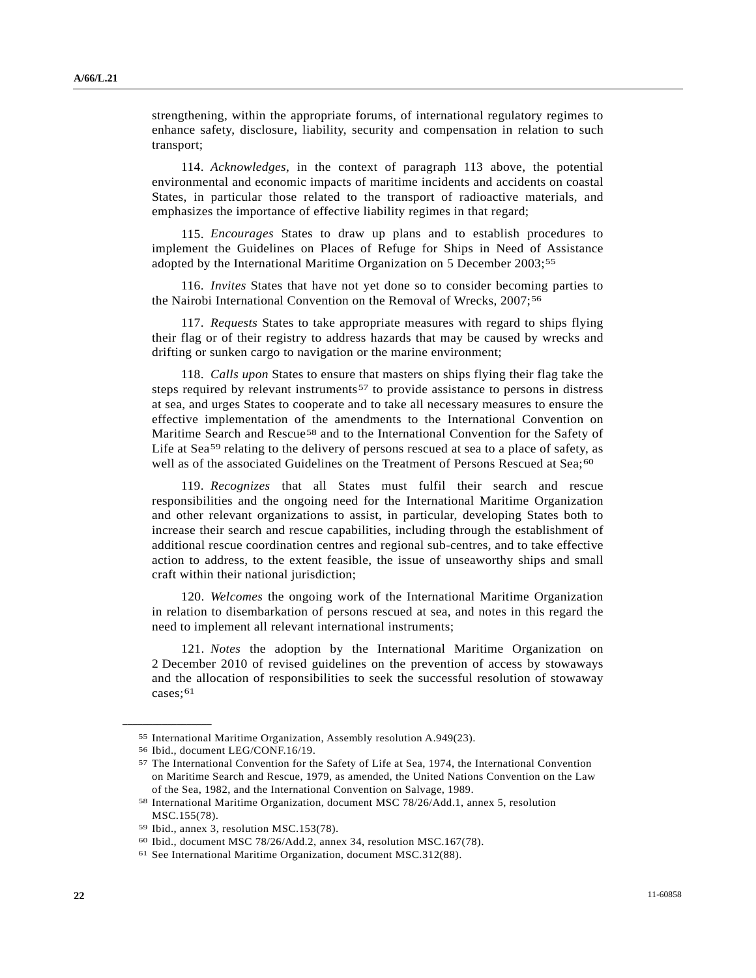strengthening, within the appropriate forums, of international regulatory regimes to enhance safety, disclosure, liability, security and compensation in relation to such transport;

 114. *Acknowledges*, in the context of paragraph 113 above, the potential environmental and economic impacts of maritime incidents and accidents on coastal States, in particular those related to the transport of radioactive materials, and emphasizes the importance of effective liability regimes in that regard;

 115. *Encourages* States to draw up plans and to establish procedures to implement the Guidelines on Places of Refuge for Ships in Need of Assistance adopted by the International Maritime Organization on [5](#page-21-0) December 2003;<sup>55</sup>

 116. *Invites* States that have not yet done so to consider becoming parties to the Nairobi International Convention on the Removal of Wrecks, 2007;<sup>[56](#page-21-1)</sup>

 117. *Requests* States to take appropriate measures with regard to ships flying their flag or of their registry to address hazards that may be caused by wrecks and drifting or sunken cargo to navigation or the marine environment;

 118. *Calls upon* States to ensure that masters on ships flying their flag take the steps required by relevant instruments<sup>[5](#page-21-2)7</sup> to provide assistance to persons in distress at sea, and urges States to cooperate and to take all necessary measures to ensure the effective implementation of the amendments to the International Convention on Maritime Search and Rescue[5](#page-21-3)8 and to the International Convention for the Safety of Life at Sea<sup>[59](#page-21-4)</sup> relating to the delivery of persons rescued at sea to a place of safety, as well as of the associated Guidelines on the Treatment of Persons Rescued at Sea;<sup>[60](#page-21-5)</sup>

 119. *Recognizes* that all States must fulfil their search and rescue responsibilities and the ongoing need for the International Maritime Organization and other relevant organizations to assist, in particular, developing States both to increase their search and rescue capabilities, including through the establishment of additional rescue coordination centres and regional sub-centres, and to take effective action to address, to the extent feasible, the issue of unseaworthy ships and small craft within their national jurisdiction;

 120. *Welcomes* the ongoing work of the International Maritime Organization in relation to disembarkation of persons rescued at sea, and notes in this regard the need to implement all relevant international instruments;

 121. *Notes* the adoption by the International Maritime Organization on 2 December 2010 of revised guidelines on the prevention of access by stowaways and the allocation of responsibilities to seek the successful resolution of stowaway cases;<sup>[61](#page-21-6)</sup>

<sup>55</sup> International Maritime Organization, Assembly resolution A.949(23). 56 Ibid., document LEG/CONF.16/19.

<span id="page-21-2"></span><span id="page-21-1"></span><span id="page-21-0"></span>

<sup>57</sup> The International Convention for the Safety of Life at Sea, 1974, the International Convention on Maritime Search and Rescue, 1979, as amended, the United Nations Convention on the Law of the Sea, 1982, and the International Convention on Salvage, 1989.

<span id="page-21-3"></span><sup>58</sup> International Maritime Organization, document MSC 78/26/Add.1, annex 5, resolution MSC.155(78).

<sup>59</sup> Ibid., annex 3, resolution MSC.153(78).

<span id="page-21-5"></span><span id="page-21-4"></span><sup>&</sup>lt;sup>60</sup> Ibid., document MSC 78/26/Add.2, annex 34, resolution MSC.167(78).<br><sup>61</sup> See International Maritime Organization, document MSC.312(88).

<span id="page-21-6"></span>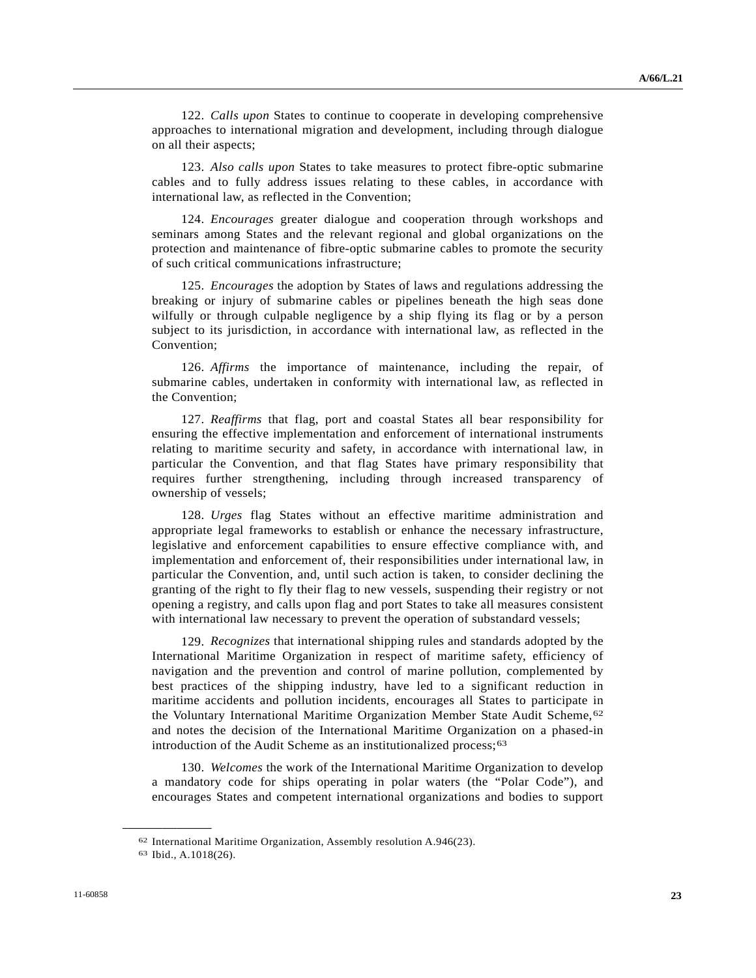122. *Calls upon* States to continue to cooperate in developing comprehensive approaches to international migration and development, including through dialogue on all their aspects;

 123. *Also calls upon* States to take measures to protect fibre-optic submarine cables and to fully address issues relating to these cables, in accordance with international law, as reflected in the Convention;

 124. *Encourages* greater dialogue and cooperation through workshops and seminars among States and the relevant regional and global organizations on the protection and maintenance of fibre-optic submarine cables to promote the security of such critical communications infrastructure;

 125. *Encourages* the adoption by States of laws and regulations addressing the breaking or injury of submarine cables or pipelines beneath the high seas done wilfully or through culpable negligence by a ship flying its flag or by a person subject to its jurisdiction, in accordance with international law, as reflected in the Convention;

 126. *Affirms* the importance of maintenance, including the repair, of submarine cables, undertaken in conformity with international law, as reflected in the Convention;

 127. *Reaffirms* that flag, port and coastal States all bear responsibility for ensuring the effective implementation and enforcement of international instruments relating to maritime security and safety, in accordance with international law, in particular the Convention, and that flag States have primary responsibility that requires further strengthening, including through increased transparency of ownership of vessels;

 128. *Urges* flag States without an effective maritime administration and appropriate legal frameworks to establish or enhance the necessary infrastructure, legislative and enforcement capabilities to ensure effective compliance with, and implementation and enforcement of, their responsibilities under international law, in particular the Convention, and, until such action is taken, to consider declining the granting of the right to fly their flag to new vessels, suspending their registry or not opening a registry, and calls upon flag and port States to take all measures consistent with international law necessary to prevent the operation of substandard vessels;

 129. *Recognizes* that international shipping rules and standards adopted by the International Maritime Organization in respect of maritime safety, efficiency of navigation and the prevention and control of marine pollution, complemented by best practices of the shipping industry, have led to a significant reduction in maritime accidents and pollution incidents, encourages all States to participate in the Voluntary International Maritime Organization Member State Audit Scheme, <sup>[62](#page-22-0)</sup> and notes the decision of the International Maritime Organization on a phased-in introduction of the Audit Scheme as an institutionalized process;<sup>[63](#page-22-1)</sup>

 130. *Welcomes* the work of the International Maritime Organization to develop a mandatory code for ships operating in polar waters (the "Polar Code"), and encourages States and competent international organizations and bodies to support

<span id="page-22-1"></span><span id="page-22-0"></span><sup>62</sup> International Maritime Organization, Assembly resolution A.946(23).<br>63 Ibid., A.1018(26).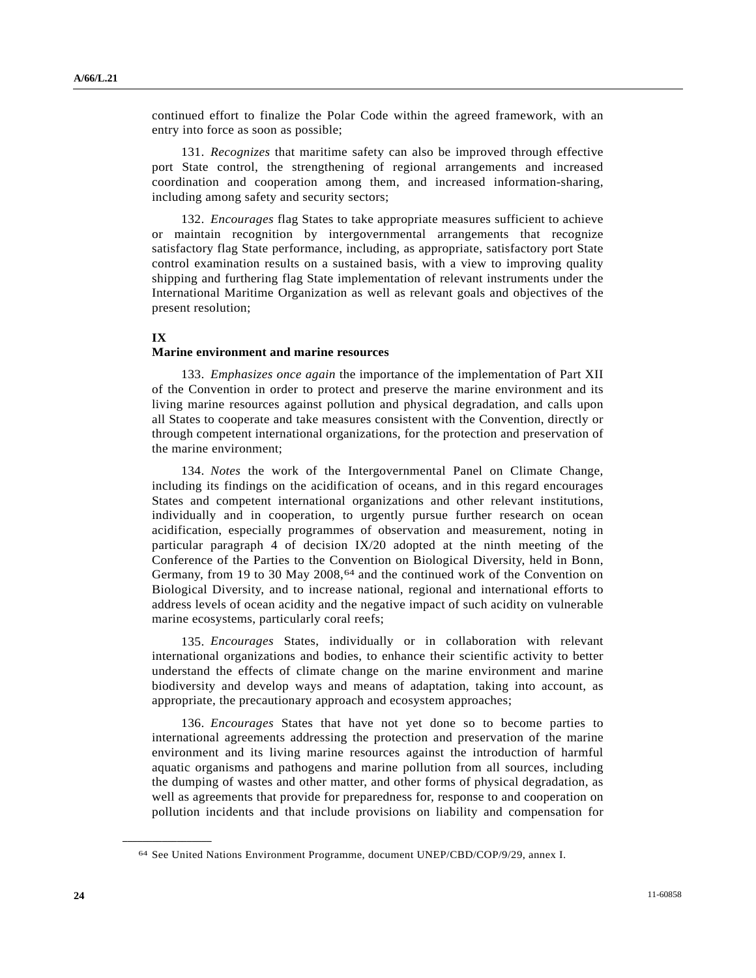continued effort to finalize the Polar Code within the agreed framework, with an entry into force as soon as possible;

 131. *Recognizes* that maritime safety can also be improved through effective port State control, the strengthening of regional arrangements and increased coordination and cooperation among them, and increased information-sharing, including among safety and security sectors;

 132. *Encourages* flag States to take appropriate measures sufficient to achieve or maintain recognition by intergovernmental arrangements that recognize satisfactory flag State performance, including, as appropriate, satisfactory port State control examination results on a sustained basis, with a view to improving quality shipping and furthering flag State implementation of relevant instruments under the International Maritime Organization as well as relevant goals and objectives of the present resolution;

### **IX**

## **Marine environment and marine resources**

 133. *Emphasizes once again* the importance of the implementation of Part XII of the Convention in order to protect and preserve the marine environment and its living marine resources against pollution and physical degradation, and calls upon all States to cooperate and take measures consistent with the Convention, directly or through competent international organizations, for the protection and preservation of the marine environment;

 134. *Notes* the work of the Intergovernmental Panel on Climate Change, including its findings on the acidification of oceans, and in this regard encourages States and competent international organizations and other relevant institutions, individually and in cooperation, to urgently pursue further research on ocean acidification, especially programmes of observation and measurement, noting in particular paragraph 4 of decision IX/20 adopted at the ninth meeting of the Conference of the Parties to the Convention on Biological Diversity, held in Bonn, Germany, from 19 to 30 May 2008,<sup>[6](#page-23-0)4</sup> and the continued work of the Convention on Biological Diversity, and to increase national, regional and international efforts to address levels of ocean acidity and the negative impact of such acidity on vulnerable marine ecosystems, particularly coral reefs;

 135. *Encourages* States, individually or in collaboration with relevant international organizations and bodies, to enhance their scientific activity to better understand the effects of climate change on the marine environment and marine biodiversity and develop ways and means of adaptation, taking into account, as appropriate, the precautionary approach and ecosystem approaches;

 136. *Encourages* States that have not yet done so to become parties to international agreements addressing the protection and preservation of the marine environment and its living marine resources against the introduction of harmful aquatic organisms and pathogens and marine pollution from all sources, including the dumping of wastes and other matter, and other forms of physical degradation, as well as agreements that provide for preparedness for, response to and cooperation on pollution incidents and that include provisions on liability and compensation for

<span id="page-23-0"></span><sup>64</sup> See United Nations Environment Programme, document UNEP/CBD/COP/9/29, annex I.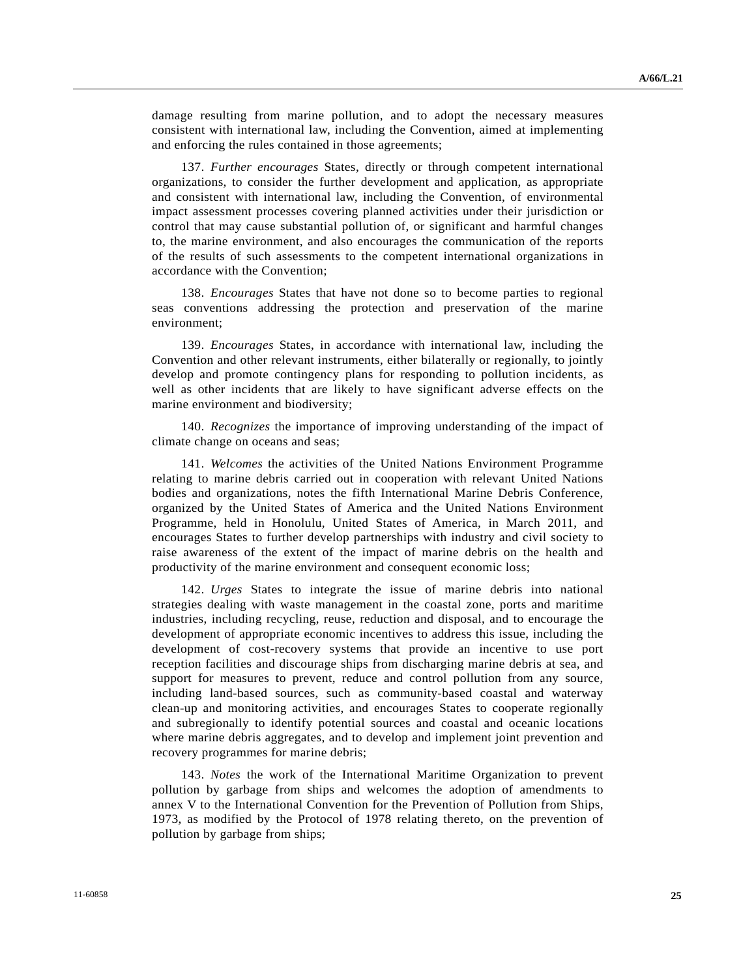damage resulting from marine pollution, and to adopt the necessary measures consistent with international law, including the Convention, aimed at implementing and enforcing the rules contained in those agreements;

 137. *Further encourages* States, directly or through competent international organizations, to consider the further development and application, as appropriate and consistent with international law, including the Convention, of environmental impact assessment processes covering planned activities under their jurisdiction or control that may cause substantial pollution of, or significant and harmful changes to, the marine environment, and also encourages the communication of the reports of the results of such assessments to the competent international organizations in accordance with the Convention;

 138. *Encourages* States that have not done so to become parties to regional seas conventions addressing the protection and preservation of the marine environment;

 139. *Encourages* States, in accordance with international law, including the Convention and other relevant instruments, either bilaterally or regionally, to jointly develop and promote contingency plans for responding to pollution incidents, as well as other incidents that are likely to have significant adverse effects on the marine environment and biodiversity;

 140. *Recognizes* the importance of improving understanding of the impact of climate change on oceans and seas;

 141. *Welcomes* the activities of the United Nations Environment Programme relating to marine debris carried out in cooperation with relevant United Nations bodies and organizations, notes the fifth International Marine Debris Conference, organized by the United States of America and the United Nations Environment Programme, held in Honolulu, United States of America, in March 2011, and encourages States to further develop partnerships with industry and civil society to raise awareness of the extent of the impact of marine debris on the health and productivity of the marine environment and consequent economic loss;

 142. *Urges* States to integrate the issue of marine debris into national strategies dealing with waste management in the coastal zone, ports and maritime industries, including recycling, reuse, reduction and disposal, and to encourage the development of appropriate economic incentives to address this issue, including the development of cost-recovery systems that provide an incentive to use port reception facilities and discourage ships from discharging marine debris at sea, and support for measures to prevent, reduce and control pollution from any source, including land-based sources, such as community-based coastal and waterway clean-up and monitoring activities, and encourages States to cooperate regionally and subregionally to identify potential sources and coastal and oceanic locations where marine debris aggregates, and to develop and implement joint prevention and recovery programmes for marine debris;

 143. *Notes* the work of the International Maritime Organization to prevent pollution by garbage from ships and welcomes the adoption of amendments to annex V to the International Convention for the Prevention of Pollution from Ships, 1973, as modified by the Protocol of 1978 relating thereto, on the prevention of pollution by garbage from ships;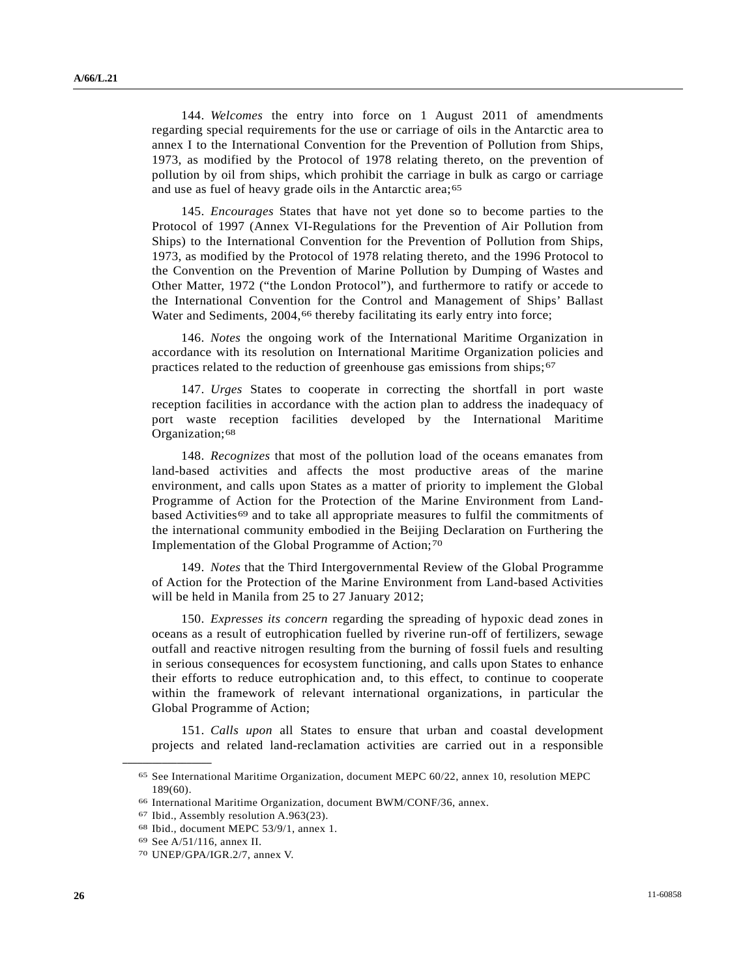144. *Welcomes* the entry into force on 1 August 2011 of amendments regarding special requirements for the use or carriage of oils in the Antarctic area to annex I to the International Convention for the Prevention of Pollution from Ships, 1973, as modified by the Protocol of 1978 relating thereto, on the prevention of pollution by oil from ships, which prohibit the carriage in bulk as cargo or carriage and use as fuel of heavy grade oils in the Antarctic area;<sup>[6](#page-25-0)5</sup>

 145. *Encourages* States that have not yet done so to become parties to the Protocol of 1997 (Annex VI-Regulations for the Prevention of Air Pollution from Ships) to the International Convention for the Prevention of Pollution from Ships, 1973, as modified by the Protocol of 1978 relating thereto, and the 1996 Protocol to the Convention on the Prevention of Marine Pollution by Dumping of Wastes and Other Matter, 1972 ("the London Protocol"), and furthermore to ratify or accede to the International Convention for the Control and Management of Ships' Ballast Water and Sediments, 2004,<sup>[6](#page-25-1)6</sup> thereby facilitating its early entry into force;

 146. *Notes* the ongoing work of the International Maritime Organization in accordance with its resolution on International Maritime Organization policies and practices related to the reduction of greenhouse gas emissions from ships;<sup>[6](#page-25-2)7</sup>

 147. *Urges* States to cooperate in correcting the shortfall in port waste reception facilities in accordance with the action plan to address the inadequacy of port waste reception facilities developed by the International Maritime Organization;<sup>[68](#page-25-3)</sup>

 148. *Recognizes* that most of the pollution load of the oceans emanates from land-based activities and affects the most productive areas of the marine environment, and calls upon States as a matter of priority to implement the Global Programme of Action for the Protection of the Marine Environment from Land-based Activities<sup>[69](#page-25-4)</sup> and to take all appropriate measures to fulfil the commitments of the international community embodied in the Beijing Declaration on Furthering the Implementation of the Global Programme of Action;[7](#page-25-5)0

 149. *Notes* that the Third Intergovernmental Review of the Global Programme of Action for the Protection of the Marine Environment from Land-based Activities will be held in Manila from 25 to 27 January 2012;

 150. *Expresses its concern* regarding the spreading of hypoxic dead zones in oceans as a result of eutrophication fuelled by riverine run-off of fertilizers, sewage outfall and reactive nitrogen resulting from the burning of fossil fuels and resulting in serious consequences for ecosystem functioning, and calls upon States to enhance their efforts to reduce eutrophication and, to this effect, to continue to cooperate within the framework of relevant international organizations, in particular the Global Programme of Action;

 151. *Calls upon* all States to ensure that urban and coastal development projects and related land-reclamation activities are carried out in a responsible

<span id="page-25-0"></span><sup>65</sup> See International Maritime Organization, document MEPC 60/22, annex 10, resolution MEPC 189(60).

<span id="page-25-2"></span><span id="page-25-1"></span><sup>66</sup> International Maritime Organization, document BWM/CONF/36, annex. 67 Ibid., Assembly resolution A.963(23).

<span id="page-25-3"></span><sup>68</sup> Ibid., document MEPC 53/9/1, annex 1.

<span id="page-25-4"></span><sup>69</sup> See A/51/116, annex II.

<span id="page-25-5"></span><sup>70</sup> UNEP/GPA/IGR.2/7, annex V.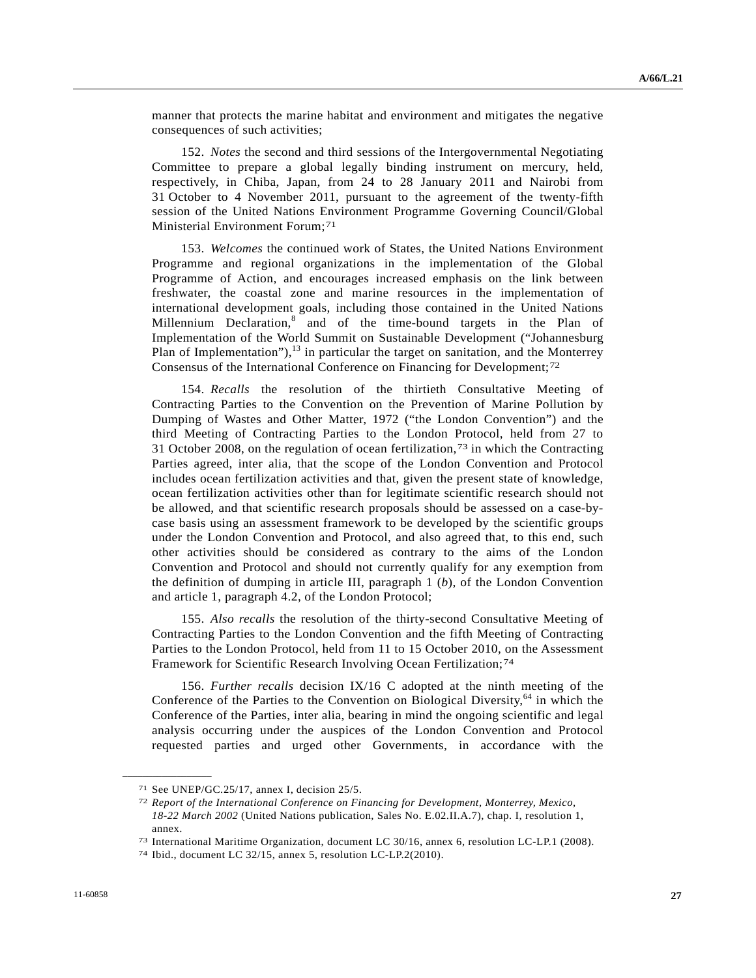manner that protects the marine habitat and environment and mitigates the negative consequences of such activities;

 152. *Notes* the second and third sessions of the Intergovernmental Negotiating Committee to prepare a global legally binding instrument on mercury, held, respectively, in Chiba, Japan, from 24 to 28 January 2011 and Nairobi from 31 October to 4 November 2011, pursuant to the agreement of the twenty-fifth session of the United Nations Environment Programme Governing Council/Global Ministerial Environment Forum:<sup>[7](#page-26-0)1</sup>

 153. *Welcomes* the continued work of States, the United Nations Environment Programme and regional organizations in the implementation of the Global Programme of Action, and encourages increased emphasis on the link between freshwater, the coastal zone and marine resources in the implementation of international development goals, including those contained in the United Nations Millennium Declaration,<sup>8</sup> and of the time-bound targets in the Plan of Implementation of the World Summit on Sustainable Development ("Johannesburg Plan of Implementation"), $^{13}$  in particular the target on sanitation, and the Monterrey Consensus of the International Conference on Financing for Development;<sup>[72](#page-26-1)</sup>

 154. *Recalls* the resolution of the thirtieth Consultative Meeting of Contracting Parties to the Convention on the Prevention of Marine Pollution by Dumping of Wastes and Other Matter, 1972 ("the London Convention") and the third Meeting of Contracting Parties to the London Protocol, held from 27 to 31 October 2008, on the regulation of ocean fertilization,<sup>[73](#page-26-2)</sup> in which the Contracting Parties agreed, inter alia, that the scope of the London Convention and Protocol includes ocean fertilization activities and that, given the present state of knowledge, ocean fertilization activities other than for legitimate scientific research should not be allowed, and that scientific research proposals should be assessed on a case-bycase basis using an assessment framework to be developed by the scientific groups under the London Convention and Protocol, and also agreed that, to this end, such other activities should be considered as contrary to the aims of the London Convention and Protocol and should not currently qualify for any exemption from the definition of dumping in article III, paragraph 1 (*b*), of the London Convention and article 1, paragraph 4.2, of the London Protocol;

 155. *Also recalls* the resolution of the thirty-second Consultative Meeting of Contracting Parties to the London Convention and the fifth Meeting of Contracting Parties to the London Protocol, held from 11 to 15 October 2010, on the Assessment Framework for Scientific Research Involving Ocean Fertilization;<sup>[7](#page-26-3)4</sup>

 156. *Further recalls* decision IX/16 C adopted at the ninth meeting of the Conference of the Parties to the Convention on Biological Diversity, $64$  in which the Conference of the Parties, inter alia, bearing in mind the ongoing scientific and legal analysis occurring under the auspices of the London Convention and Protocol requested parties and urged other Governments, in accordance with the

<span id="page-26-1"></span><span id="page-26-0"></span><sup>71</sup> See UNEP/GC.25/17, annex I, decision 25/5.

<sup>72</sup> *Report of the International Conference on Financing for Development, Monterrey, Mexico, 18-22 March 2002* (United Nations publication, Sales No. E.02.II.A.7), chap. I, resolution 1, annex.

<span id="page-26-2"></span><sup>73</sup> International Maritime Organization, document LC 30/16, annex 6, resolution LC-LP.1 (2008). 74 Ibid., document LC 32/15, annex 5, resolution LC-LP.2(2010).

<span id="page-26-3"></span>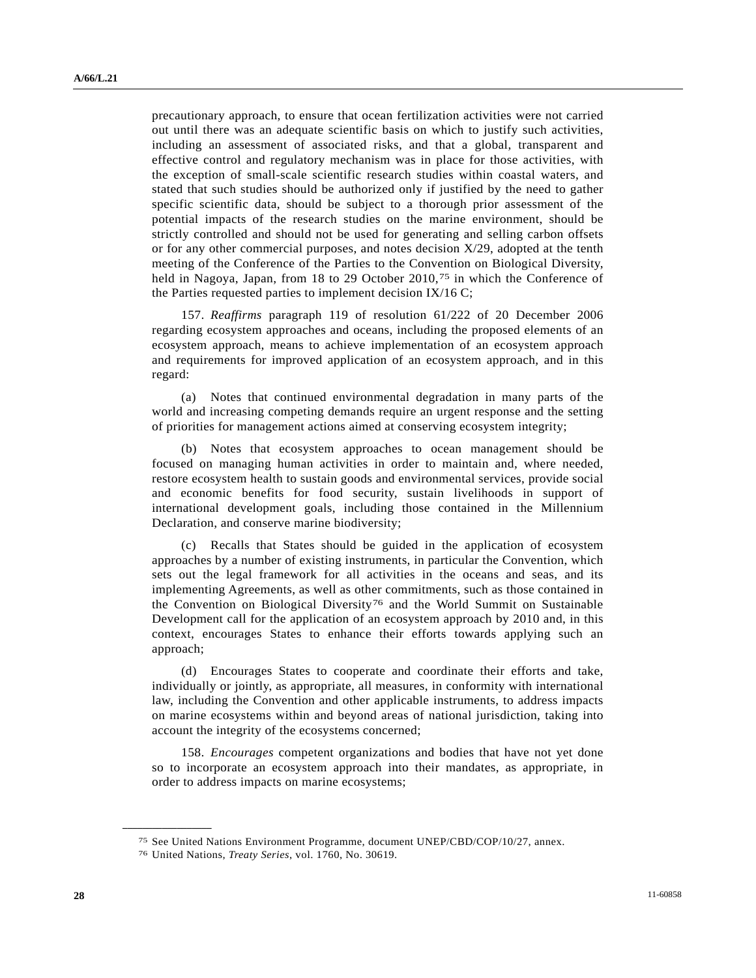precautionary approach, to ensure that ocean fertilization activities were not carried out until there was an adequate scientific basis on which to justify such activities, including an assessment of associated risks, and that a global, transparent and effective control and regulatory mechanism was in place for those activities, with the exception of small-scale scientific research studies within coastal waters, and stated that such studies should be authorized only if justified by the need to gather specific scientific data, should be subject to a thorough prior assessment of the potential impacts of the research studies on the marine environment, should be strictly controlled and should not be used for generating and selling carbon offsets or for any other commercial purposes, and notes decision X/29, adopted at the tenth meeting of the Conference of the Parties to the Convention on Biological Diversity, held in Nagoya, Japan, from 18 to 29 October 2010,<sup>[7](#page-27-0)5</sup> in which the Conference of the Parties requested parties to implement decision IX/16 C;

 157. *Reaffirms* paragraph 119 of resolution 61/222 of 20 December 2006 regarding ecosystem approaches and oceans, including the proposed elements of an ecosystem approach, means to achieve implementation of an ecosystem approach and requirements for improved application of an ecosystem approach, and in this regard:

 (a) Notes that continued environmental degradation in many parts of the world and increasing competing demands require an urgent response and the setting of priorities for management actions aimed at conserving ecosystem integrity;

 (b) Notes that ecosystem approaches to ocean management should be focused on managing human activities in order to maintain and, where needed, restore ecosystem health to sustain goods and environmental services, provide social and economic benefits for food security, sustain livelihoods in support of international development goals, including those contained in the Millennium Declaration, and conserve marine biodiversity;

 (c) Recalls that States should be guided in the application of ecosystem approaches by a number of existing instruments, in particular the Convention, which sets out the legal framework for all activities in the oceans and seas, and its implementing Agreements, as well as other commitments, such as those contained in the Convention on Biological Diversity[7](#page-27-1)6 and the World Summit on Sustainable Development call for the application of an ecosystem approach by 2010 and, in this context, encourages States to enhance their efforts towards applying such an approach;

 (d) Encourages States to cooperate and coordinate their efforts and take, individually or jointly, as appropriate, all measures, in conformity with international law, including the Convention and other applicable instruments, to address impacts on marine ecosystems within and beyond areas of national jurisdiction, taking into account the integrity of the ecosystems concerned;

 158. *Encourages* competent organizations and bodies that have not yet done so to incorporate an ecosystem approach into their mandates, as appropriate, in order to address impacts on marine ecosystems;

<span id="page-27-1"></span><span id="page-27-0"></span><sup>75</sup> See United Nations Environment Programme, document UNEP/CBD/COP/10/27, annex. 76 United Nations, *Treaty Series*, vol. 1760, No. 30619.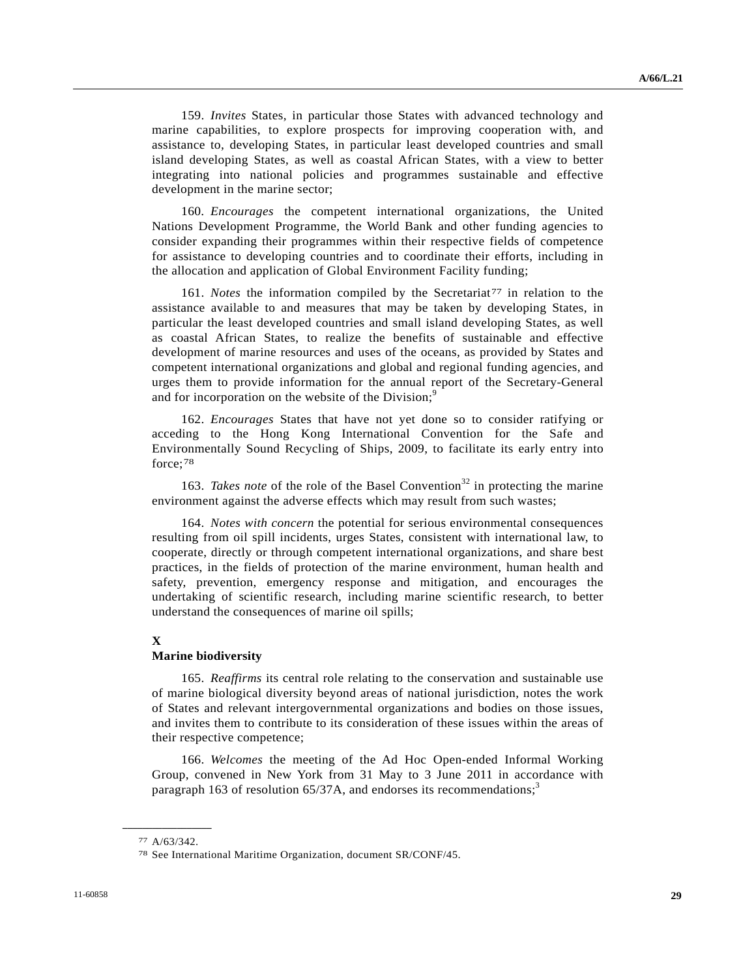159. *Invites* States, in particular those States with advanced technology and marine capabilities, to explore prospects for improving cooperation with, and assistance to, developing States, in particular least developed countries and small island developing States, as well as coastal African States, with a view to better integrating into national policies and programmes sustainable and effective development in the marine sector;

 160. *Encourages* the competent international organizations, the United Nations Development Programme, the World Bank and other funding agencies to consider expanding their programmes within their respective fields of competence for assistance to developing countries and to coordinate their efforts, including in the allocation and application of Global Environment Facility funding;

 161. *Notes* the information compiled by the Secretariat[7](#page-28-0)7 in relation to the assistance available to and measures that may be taken by developing States, in particular the least developed countries and small island developing States, as well as coastal African States, to realize the benefits of sustainable and effective development of marine resources and uses of the oceans, as provided by States and competent international organizations and global and regional funding agencies, and urges them to provide information for the annual report of the Secretary-General and for incorporation on the website of the Division; $\degree$ 

 162. *Encourages* States that have not yet done so to consider ratifying or acceding to the Hong Kong International Convention for the Safe and Environmentally Sound Recycling of Ships, 2009, to facilitate its early entry into force;[78](#page-28-1)

163. *Takes note* of the role of the Basel Convention<sup>32</sup> in protecting the marine environment against the adverse effects which may result from such wastes;

 164. *Notes with concern* the potential for serious environmental consequences resulting from oil spill incidents, urges States, consistent with international law, to cooperate, directly or through competent international organizations, and share best practices, in the fields of protection of the marine environment, human health and safety, prevention, emergency response and mitigation, and encourages the undertaking of scientific research, including marine scientific research, to better understand the consequences of marine oil spills;

## **X**

#### **Marine biodiversity**

 165. *Reaffirms* its central role relating to the conservation and sustainable use of marine biological diversity beyond areas of national jurisdiction, notes the work of States and relevant intergovernmental organizations and bodies on those issues, and invites them to contribute to its consideration of these issues within the areas of their respective competence;

 166. *Welcomes* the meeting of the Ad Hoc Open-ended Informal Working Group, convened in New York from 31 May to 3 June 2011 in accordance with paragraph 163 of resolution 65/37A, and endorses its recommendations;<sup>3</sup>

<span id="page-28-1"></span><span id="page-28-0"></span>**\_\_\_\_\_\_\_\_\_\_\_\_\_\_\_\_\_\_**  77 A/63/342.

<sup>78</sup> See International Maritime Organization, document SR/CONF/45.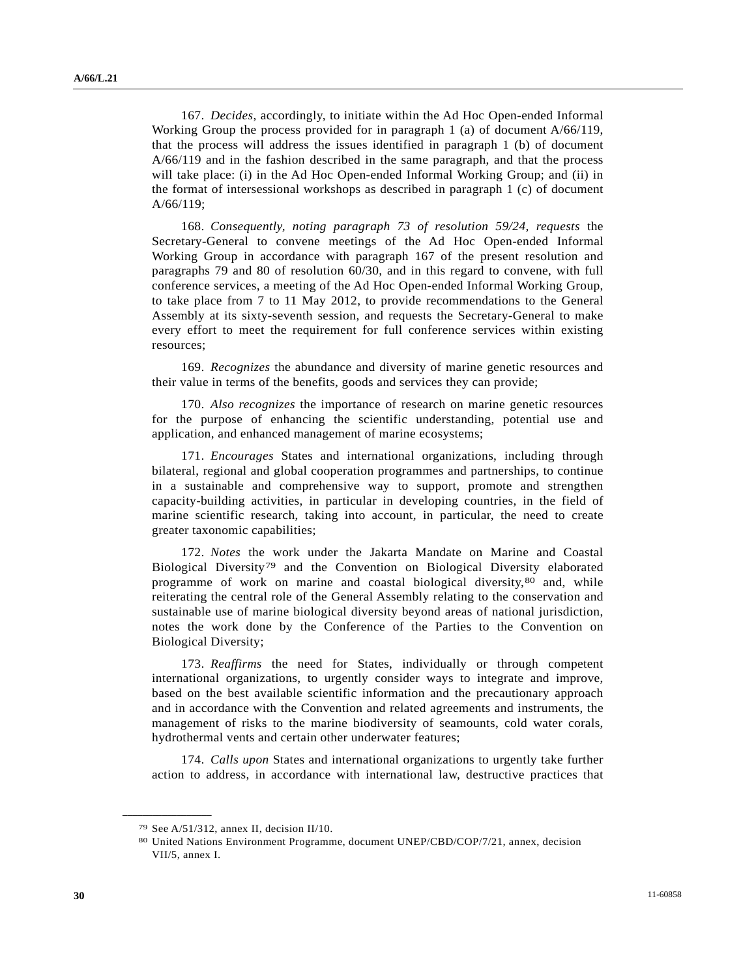167. *Decides*, accordingly, to initiate within the Ad Hoc Open-ended Informal Working Group the process provided for in paragraph 1 (a) of document A/66/119, that the process will address the issues identified in paragraph 1 (b) of document A/66/119 and in the fashion described in the same paragraph, and that the process will take place: (i) in the Ad Hoc Open-ended Informal Working Group; and (ii) in the format of intersessional workshops as described in paragraph 1 (c) of document A/66/119;

 168. *Consequently, noting paragraph 73 of resolution 59/24, requests* the Secretary-General to convene meetings of the Ad Hoc Open-ended Informal Working Group in accordance with paragraph 167 of the present resolution and paragraphs 79 and 80 of resolution 60/30, and in this regard to convene, with full conference services, a meeting of the Ad Hoc Open-ended Informal Working Group, to take place from 7 to 11 May 2012, to provide recommendations to the General Assembly at its sixty-seventh session, and requests the Secretary-General to make every effort to meet the requirement for full conference services within existing resources;

 169. *Recognizes* the abundance and diversity of marine genetic resources and their value in terms of the benefits, goods and services they can provide;

 170. *Also recognizes* the importance of research on marine genetic resources for the purpose of enhancing the scientific understanding, potential use and application, and enhanced management of marine ecosystems;

 171. *Encourages* States and international organizations, including through bilateral, regional and global cooperation programmes and partnerships, to continue in a sustainable and comprehensive way to support, promote and strengthen capacity-building activities, in particular in developing countries, in the field of marine scientific research, taking into account, in particular, the need to create greater taxonomic capabilities;

 172. *Notes* the work under the Jakarta Mandate on Marine and Coastal Biological Diversity[7](#page-29-0)9 and the Convention on Biological Diversity elaborated programme of work on marine and coastal biological diversity,[8](#page-29-1)0 and, while reiterating the central role of the General Assembly relating to the conservation and sustainable use of marine biological diversity beyond areas of national jurisdiction, notes the work done by the Conference of the Parties to the Convention on Biological Diversity;

 173. *Reaffirms* the need for States, individually or through competent international organizations, to urgently consider ways to integrate and improve, based on the best available scientific information and the precautionary approach and in accordance with the Convention and related agreements and instruments, the management of risks to the marine biodiversity of seamounts, cold water corals, hydrothermal vents and certain other underwater features;

 174. *Calls upon* States and international organizations to urgently take further action to address, in accordance with international law, destructive practices that

<span id="page-29-1"></span><span id="page-29-0"></span><sup>79</sup> See A/51/312, annex II, decision II/10.

<sup>80</sup> United Nations Environment Programme, document UNEP/CBD/COP/7/21, annex, decision VII/5, annex I.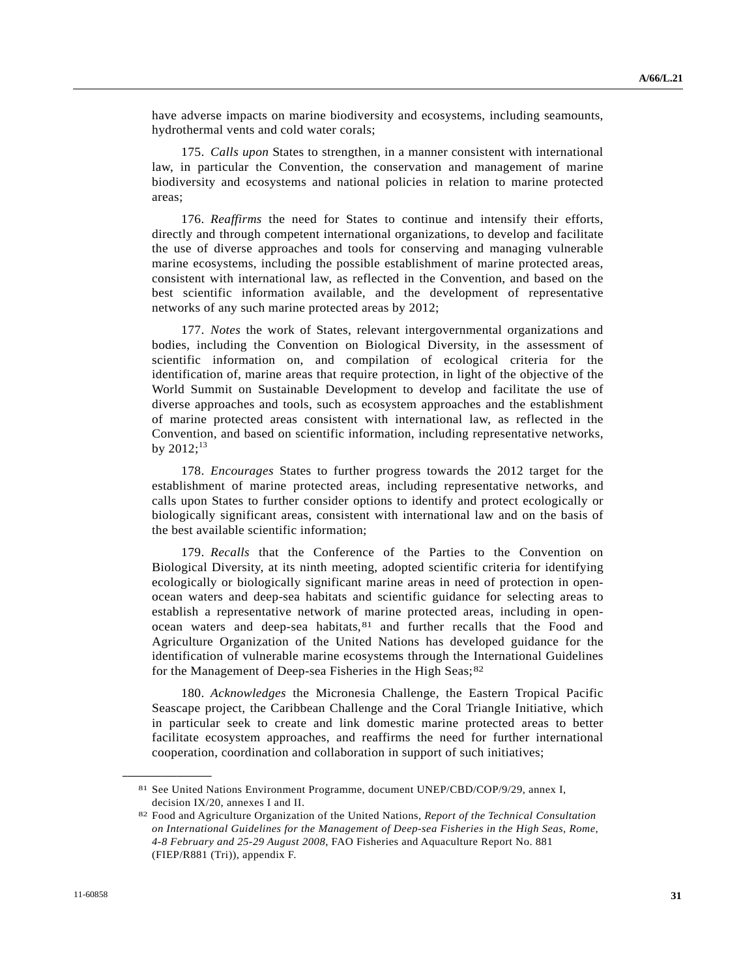have adverse impacts on marine biodiversity and ecosystems, including seamounts, hydrothermal vents and cold water corals;

 175. *Calls upon* States to strengthen, in a manner consistent with international law, in particular the Convention, the conservation and management of marine biodiversity and ecosystems and national policies in relation to marine protected areas;

 176. *Reaffirms* the need for States to continue and intensify their efforts, directly and through competent international organizations, to develop and facilitate the use of diverse approaches and tools for conserving and managing vulnerable marine ecosystems, including the possible establishment of marine protected areas, consistent with international law, as reflected in the Convention, and based on the best scientific information available, and the development of representative networks of any such marine protected areas by 2012;

 177. *Notes* the work of States, relevant intergovernmental organizations and bodies, including the Convention on Biological Diversity, in the assessment of scientific information on, and compilation of ecological criteria for the identification of, marine areas that require protection, in light of the objective of the World Summit on Sustainable Development to develop and facilitate the use of diverse approaches and tools, such as ecosystem approaches and the establishment of marine protected areas consistent with international law, as reflected in the Convention, and based on scientific information, including representative networks, by  $2012;^{13}$ 

 178. *Encourages* States to further progress towards the 2012 target for the establishment of marine protected areas, including representative networks, and calls upon States to further consider options to identify and protect ecologically or biologically significant areas, consistent with international law and on the basis of the best available scientific information;

 179. *Recalls* that the Conference of the Parties to the Convention on Biological Diversity, at its ninth meeting, adopted scientific criteria for identifying ecologically or biologically significant marine areas in need of protection in openocean waters and deep-sea habitats and scientific guidance for selecting areas to establish a representative network of marine protected areas, including in open-ocean waters and deep-sea habitats, [8](#page-30-0)1 and further recalls that the Food and Agriculture Organization of the United Nations has developed guidance for the identification of vulnerable marine ecosystems through the International Guidelines for the Management of Deep-sea Fisheries in the High Seas;<sup>[82](#page-30-1)</sup>

 180. *Acknowledges* the Micronesia Challenge, the Eastern Tropical Pacific Seascape project, the Caribbean Challenge and the Coral Triangle Initiative, which in particular seek to create and link domestic marine protected areas to better facilitate ecosystem approaches, and reaffirms the need for further international cooperation, coordination and collaboration in support of such initiatives;

<span id="page-30-1"></span><span id="page-30-0"></span><sup>81</sup> See United Nations Environment Programme, document UNEP/CBD/COP/9/29, annex I, decision IX/20, annexes I and II.

<sup>82</sup> Food and Agriculture Organization of the United Nations, *Report of the Technical Consultation on International Guidelines for the Management of Deep-sea Fisheries in the High Seas, Rome, 4-8 February and 25-29 August 2008*, FAO Fisheries and Aquaculture Report No. 881 (FIEP/R881 (Tri)), appendix F.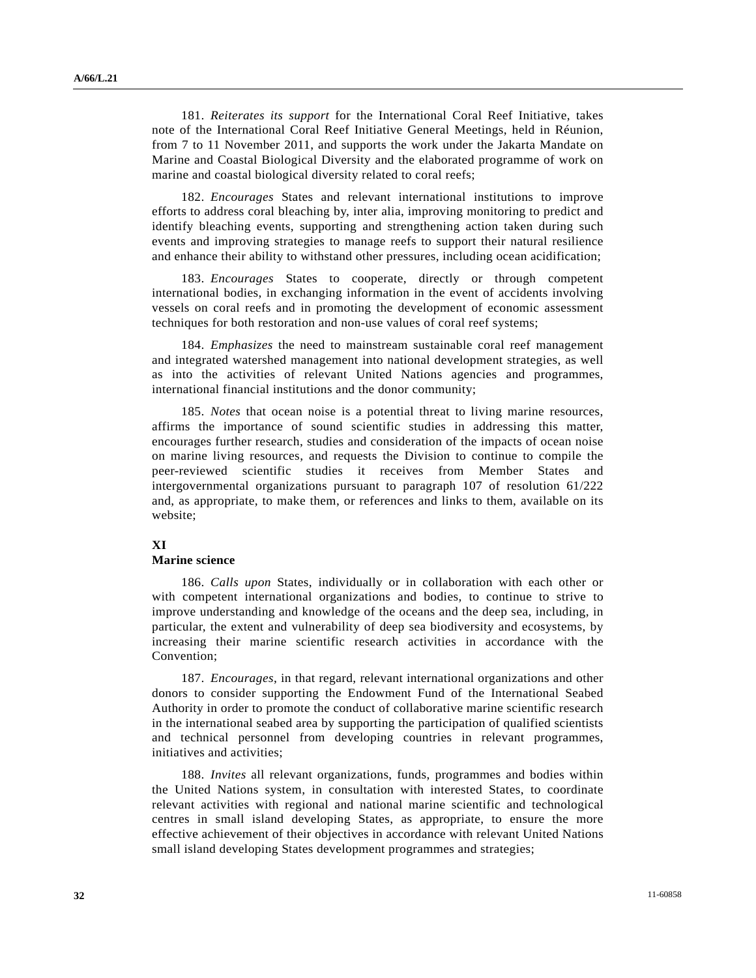181. *Reiterates its support* for the International Coral Reef Initiative, takes note of the International Coral Reef Initiative General Meetings, held in Réunion, from 7 to 11 November 2011, and supports the work under the Jakarta Mandate on Marine and Coastal Biological Diversity and the elaborated programme of work on marine and coastal biological diversity related to coral reefs;

 182. *Encourages* States and relevant international institutions to improve efforts to address coral bleaching by, inter alia, improving monitoring to predict and identify bleaching events, supporting and strengthening action taken during such events and improving strategies to manage reefs to support their natural resilience and enhance their ability to withstand other pressures, including ocean acidification;

 183. *Encourages* States to cooperate, directly or through competent international bodies, in exchanging information in the event of accidents involving vessels on coral reefs and in promoting the development of economic assessment techniques for both restoration and non-use values of coral reef systems;

 184. *Emphasizes* the need to mainstream sustainable coral reef management and integrated watershed management into national development strategies, as well as into the activities of relevant United Nations agencies and programmes, international financial institutions and the donor community;

 185. *Notes* that ocean noise is a potential threat to living marine resources, affirms the importance of sound scientific studies in addressing this matter, encourages further research, studies and consideration of the impacts of ocean noise on marine living resources, and requests the Division to continue to compile the peer-reviewed scientific studies it receives from Member States and intergovernmental organizations pursuant to paragraph 107 of resolution 61/222 and, as appropriate, to make them, or references and links to them, available on its website;

## **XI**

#### **Marine science**

 186. *Calls upon* States, individually or in collaboration with each other or with competent international organizations and bodies, to continue to strive to improve understanding and knowledge of the oceans and the deep sea, including, in particular, the extent and vulnerability of deep sea biodiversity and ecosystems, by increasing their marine scientific research activities in accordance with the Convention;

 187. *Encourages*, in that regard, relevant international organizations and other donors to consider supporting the Endowment Fund of the International Seabed Authority in order to promote the conduct of collaborative marine scientific research in the international seabed area by supporting the participation of qualified scientists and technical personnel from developing countries in relevant programmes, initiatives and activities;

 188. *Invites* all relevant organizations, funds, programmes and bodies within the United Nations system, in consultation with interested States, to coordinate relevant activities with regional and national marine scientific and technological centres in small island developing States, as appropriate, to ensure the more effective achievement of their objectives in accordance with relevant United Nations small island developing States development programmes and strategies;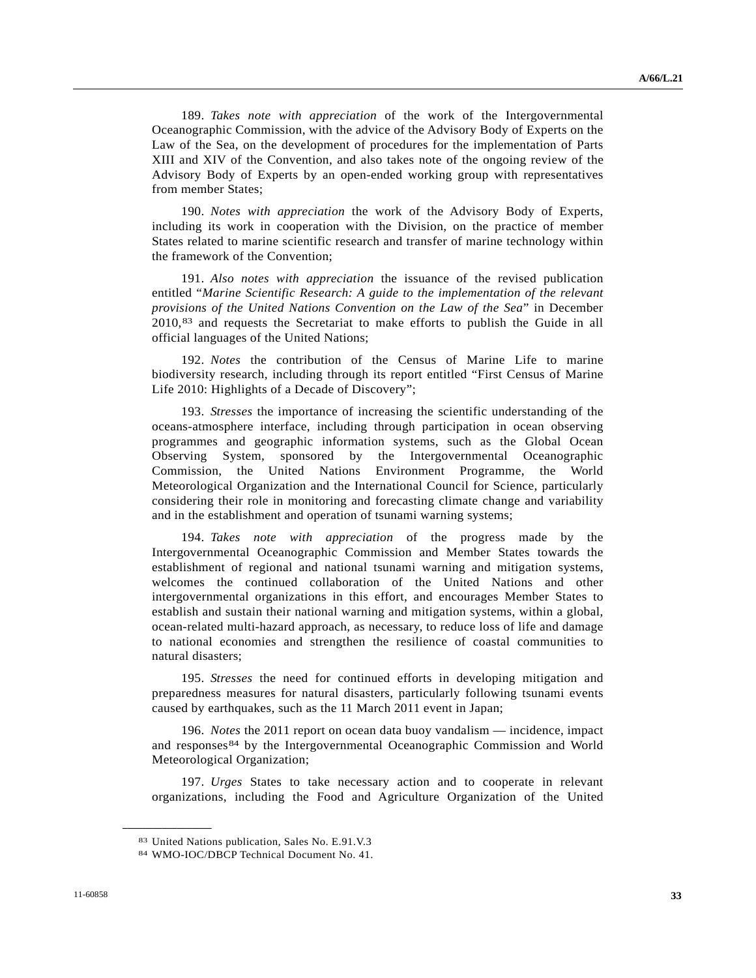189. *Takes note with appreciation* of the work of the Intergovernmental Oceanographic Commission, with the advice of the Advisory Body of Experts on the Law of the Sea, on the development of procedures for the implementation of Parts XIII and XIV of the Convention, and also takes note of the ongoing review of the Advisory Body of Experts by an open-ended working group with representatives from member States;

 190. *Notes with appreciation* the work of the Advisory Body of Experts, including its work in cooperation with the Division, on the practice of member States related to marine scientific research and transfer of marine technology within the framework of the Convention;

 191. *Also notes with appreciation* the issuance of the revised publication entitled "*Marine Scientific Research: A guide to the implementation of the relevant provisions of the United Nations Convention on the Law of the Sea*" in December 2010,[83](#page-32-0) and requests the Secretariat to make efforts to publish the Guide in all official languages of the United Nations;

 192. *Notes* the contribution of the Census of Marine Life to marine biodiversity research, including through its report entitled "First Census of Marine Life 2010: Highlights of a Decade of Discovery";

 193. *Stresses* the importance of increasing the scientific understanding of the oceans-atmosphere interface, including through participation in ocean observing programmes and geographic information systems, such as the Global Ocean Observing System, sponsored by the Intergovernmental Oceanographic Commission, the United Nations Environment Programme, the World Meteorological Organization and the International Council for Science, particularly considering their role in monitoring and forecasting climate change and variability and in the establishment and operation of tsunami warning systems;

 194. *Takes note with appreciation* of the progress made by the Intergovernmental Oceanographic Commission and Member States towards the establishment of regional and national tsunami warning and mitigation systems, welcomes the continued collaboration of the United Nations and other intergovernmental organizations in this effort, and encourages Member States to establish and sustain their national warning and mitigation systems, within a global, ocean-related multi-hazard approach, as necessary, to reduce loss of life and damage to national economies and strengthen the resilience of coastal communities to natural disasters;

 195. *Stresses* the need for continued efforts in developing mitigation and preparedness measures for natural disasters, particularly following tsunami events caused by earthquakes, such as the 11 March 2011 event in Japan;

 196. *Notes* the 2011 report on ocean data buoy vandalism — incidence, impact and responses[84](#page-32-1) by the Intergovernmental Oceanographic Commission and World Meteorological Organization;

 197. *Urges* States to take necessary action and to cooperate in relevant organizations, including the Food and Agriculture Organization of the United

<span id="page-32-0"></span><sup>83</sup> United Nations publication, Sales No. E.91.V.3

<span id="page-32-1"></span><sup>84</sup> WMO-IOC/DBCP Technical Document No. 41.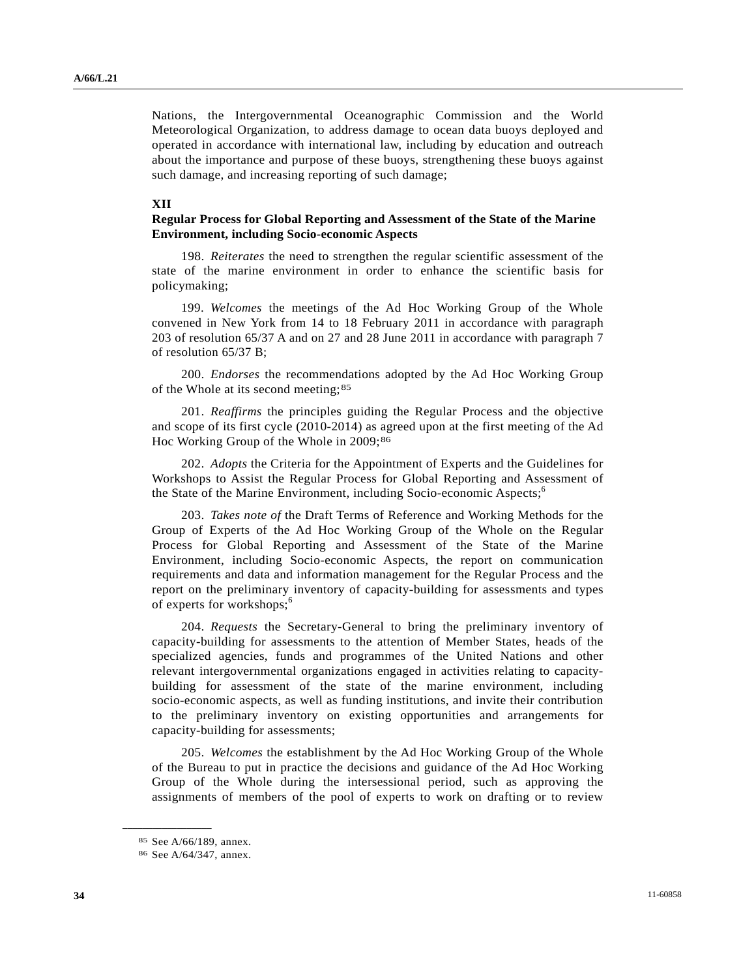Nations, the Intergovernmental Oceanographic Commission and the World Meteorological Organization, to address damage to ocean data buoys deployed and operated in accordance with international law, including by education and outreach about the importance and purpose of these buoys, strengthening these buoys against such damage, and increasing reporting of such damage;

## **XII**

## **Regular Process for Global Reporting and Assessment of the State of the Marine Environment, including Socio-economic Aspects**

 198. *Reiterates* the need to strengthen the regular scientific assessment of the state of the marine environment in order to enhance the scientific basis for policymaking;

 199. *Welcomes* the meetings of the Ad Hoc Working Group of the Whole convened in New York from 14 to 18 February 2011 in accordance with paragraph 203 of resolution 65/37 A and on 27 and 28 June 2011 in accordance with paragraph 7 of resolution 65/37 B;

 200. *Endorses* the recommendations adopted by the Ad Hoc Working Group of the Whole at its second meeting;[8](#page-33-0)5

 201. *Reaffirms* the principles guiding the Regular Process and the objective and scope of its first cycle (2010-2014) as agreed upon at the first meeting of the Ad Hoc Working Group of the Whole in 2009;<sup>[86](#page-33-1)</sup>

 202. *Adopts* the Criteria for the Appointment of Experts and the Guidelines for Workshops to Assist the Regular Process for Global Reporting and Assessment of the State of the Marine Environment, including Socio-economic Aspects;<sup>6</sup>

 203. *Takes note of* the Draft Terms of Reference and Working Methods for the Group of Experts of the Ad Hoc Working Group of the Whole on the Regular Process for Global Reporting and Assessment of the State of the Marine Environment, including Socio-economic Aspects, the report on communication requirements and data and information management for the Regular Process and the report on the preliminary inventory of capacity-building for assessments and types of experts for workshops;<sup>6</sup>

 204. *Requests* the Secretary-General to bring the preliminary inventory of capacity-building for assessments to the attention of Member States, heads of the specialized agencies, funds and programmes of the United Nations and other relevant intergovernmental organizations engaged in activities relating to capacitybuilding for assessment of the state of the marine environment, including socio-economic aspects, as well as funding institutions, and invite their contribution to the preliminary inventory on existing opportunities and arrangements for capacity-building for assessments;

 205. *Welcomes* the establishment by the Ad Hoc Working Group of the Whole of the Bureau to put in practice the decisions and guidance of the Ad Hoc Working Group of the Whole during the intersessional period, such as approving the assignments of members of the pool of experts to work on drafting or to review

<span id="page-33-0"></span><sup>85</sup> See A/66/189, annex.

<span id="page-33-1"></span><sup>86</sup> See A/64/347, annex.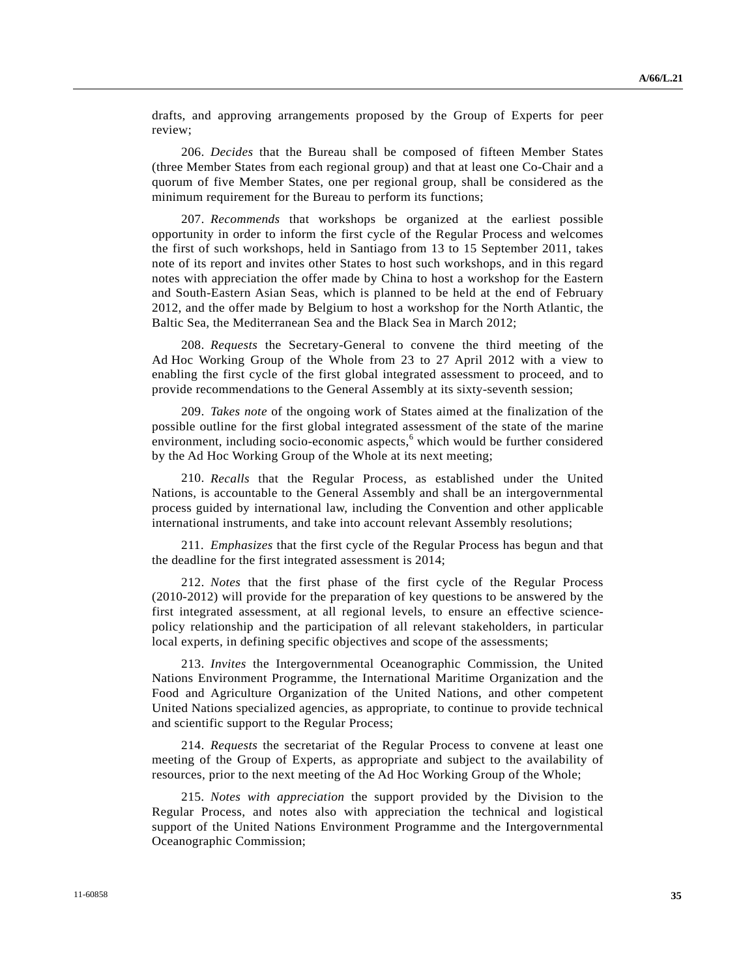drafts, and approving arrangements proposed by the Group of Experts for peer review;

 206. *Decides* that the Bureau shall be composed of fifteen Member States (three Member States from each regional group) and that at least one Co-Chair and a quorum of five Member States, one per regional group, shall be considered as the minimum requirement for the Bureau to perform its functions;

 207. *Recommends* that workshops be organized at the earliest possible opportunity in order to inform the first cycle of the Regular Process and welcomes the first of such workshops, held in Santiago from 13 to 15 September 2011, takes note of its report and invites other States to host such workshops, and in this regard notes with appreciation the offer made by China to host a workshop for the Eastern and South-Eastern Asian Seas, which is planned to be held at the end of February 2012, and the offer made by Belgium to host a workshop for the North Atlantic, the Baltic Sea, the Mediterranean Sea and the Black Sea in March 2012;

 208. *Requests* the Secretary-General to convene the third meeting of the Ad Hoc Working Group of the Whole from 23 to 27 April 2012 with a view to enabling the first cycle of the first global integrated assessment to proceed, and to provide recommendations to the General Assembly at its sixty-seventh session;

 209. *Takes note* of the ongoing work of States aimed at the finalization of the possible outline for the first global integrated assessment of the state of the marine environment, including socio-economic aspects, $<sup>6</sup>$  which would be further considered</sup> by the Ad Hoc Working Group of the Whole at its next meeting;

 210. *Recalls* that the Regular Process, as established under the United Nations, is accountable to the General Assembly and shall be an intergovernmental process guided by international law, including the Convention and other applicable international instruments, and take into account relevant Assembly resolutions;

 211. *Emphasizes* that the first cycle of the Regular Process has begun and that the deadline for the first integrated assessment is 2014;

 212. *Notes* that the first phase of the first cycle of the Regular Process (2010-2012) will provide for the preparation of key questions to be answered by the first integrated assessment, at all regional levels, to ensure an effective sciencepolicy relationship and the participation of all relevant stakeholders, in particular local experts, in defining specific objectives and scope of the assessments;

 213. *Invites* the Intergovernmental Oceanographic Commission, the United Nations Environment Programme, the International Maritime Organization and the Food and Agriculture Organization of the United Nations, and other competent United Nations specialized agencies, as appropriate, to continue to provide technical and scientific support to the Regular Process;

 214. *Requests* the secretariat of the Regular Process to convene at least one meeting of the Group of Experts, as appropriate and subject to the availability of resources, prior to the next meeting of the Ad Hoc Working Group of the Whole;

 215. *Notes with appreciation* the support provided by the Division to the Regular Process, and notes also with appreciation the technical and logistical support of the United Nations Environment Programme and the Intergovernmental Oceanographic Commission;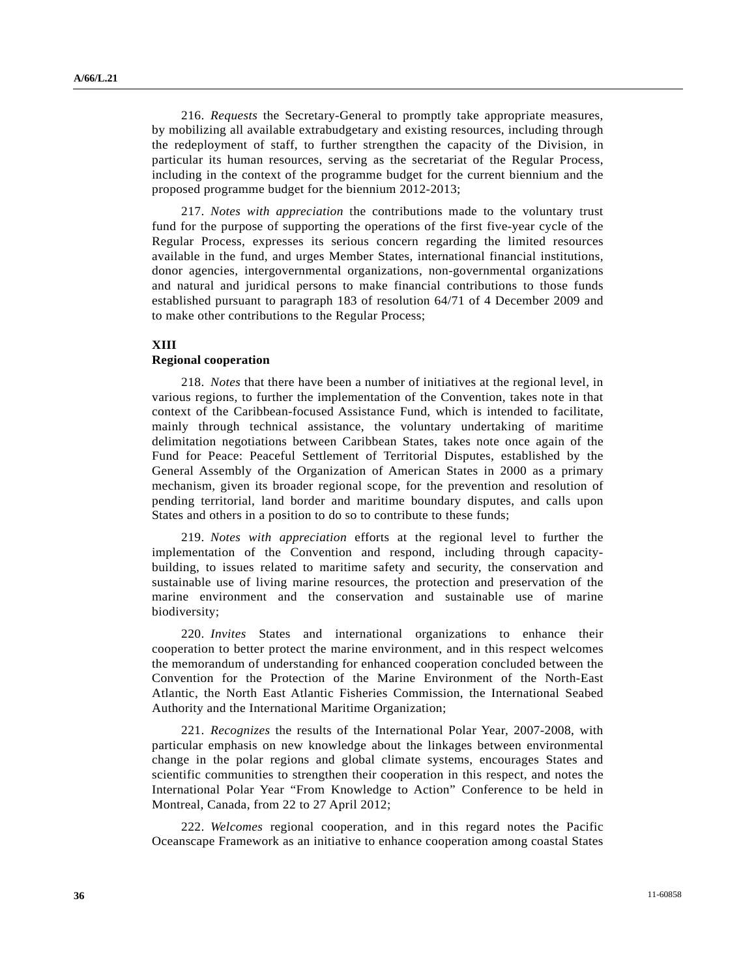216. *Requests* the Secretary-General to promptly take appropriate measures, by mobilizing all available extrabudgetary and existing resources, including through the redeployment of staff, to further strengthen the capacity of the Division, in particular its human resources, serving as the secretariat of the Regular Process, including in the context of the programme budget for the current biennium and the proposed programme budget for the biennium 2012-2013;

 217. *Notes with appreciation* the contributions made to the voluntary trust fund for the purpose of supporting the operations of the first five-year cycle of the Regular Process, expresses its serious concern regarding the limited resources available in the fund, and urges Member States, international financial institutions, donor agencies, intergovernmental organizations, non-governmental organizations and natural and juridical persons to make financial contributions to those funds established pursuant to paragraph 183 of resolution 64/71 of 4 December 2009 and to make other contributions to the Regular Process;

### **XIII**

### **Regional cooperation**

 218. *Notes* that there have been a number of initiatives at the regional level, in various regions, to further the implementation of the Convention, takes note in that context of the Caribbean-focused Assistance Fund, which is intended to facilitate, mainly through technical assistance, the voluntary undertaking of maritime delimitation negotiations between Caribbean States, takes note once again of the Fund for Peace: Peaceful Settlement of Territorial Disputes, established by the General Assembly of the Organization of American States in 2000 as a primary mechanism, given its broader regional scope, for the prevention and resolution of pending territorial, land border and maritime boundary disputes, and calls upon States and others in a position to do so to contribute to these funds;

 219. *Notes with appreciation* efforts at the regional level to further the implementation of the Convention and respond, including through capacitybuilding, to issues related to maritime safety and security, the conservation and sustainable use of living marine resources, the protection and preservation of the marine environment and the conservation and sustainable use of marine biodiversity;

 220. *Invites* States and international organizations to enhance their cooperation to better protect the marine environment, and in this respect welcomes the memorandum of understanding for enhanced cooperation concluded between the Convention for the Protection of the Marine Environment of the North-East Atlantic, the North East Atlantic Fisheries Commission, the International Seabed Authority and the International Maritime Organization;

 221. *Recognizes* the results of the International Polar Year, 2007-2008, with particular emphasis on new knowledge about the linkages between environmental change in the polar regions and global climate systems, encourages States and scientific communities to strengthen their cooperation in this respect, and notes the International Polar Year "From Knowledge to Action" Conference to be held in Montreal, Canada, from 22 to 27 April 2012;

 222. *Welcomes* regional cooperation, and in this regard notes the Pacific Oceanscape Framework as an initiative to enhance cooperation among coastal States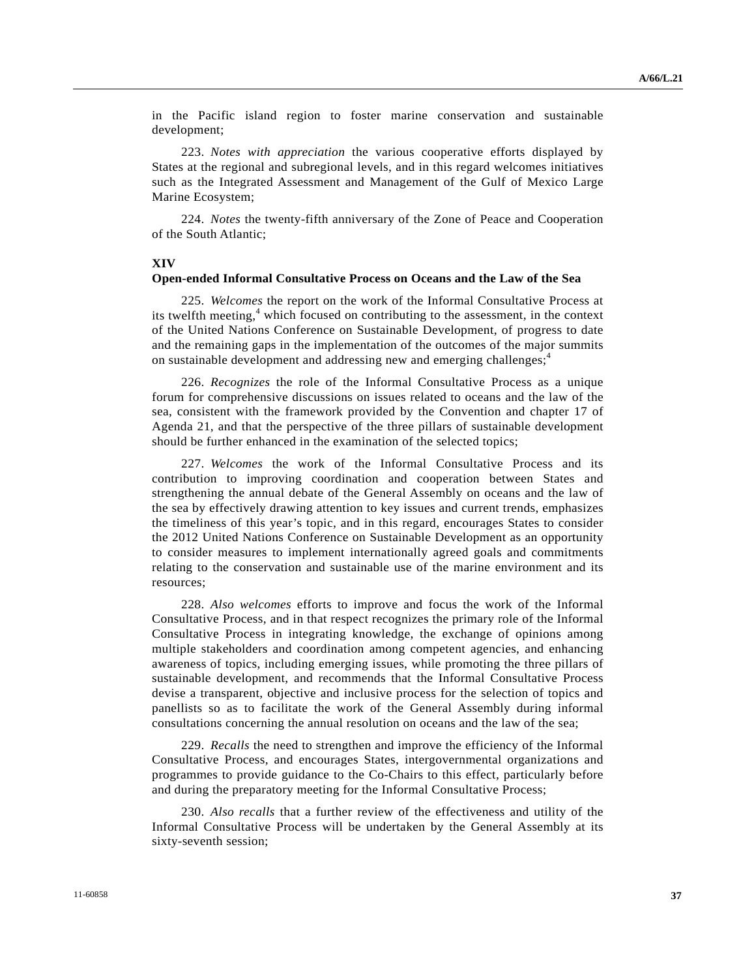in the Pacific island region to foster marine conservation and sustainable development;

 223. *Notes with appreciation* the various cooperative efforts displayed by States at the regional and subregional levels, and in this regard welcomes initiatives such as the Integrated Assessment and Management of the Gulf of Mexico Large Marine Ecosystem;

 224. *Notes* the twenty-fifth anniversary of the Zone of Peace and Cooperation of the South Atlantic;

#### **XIV**

### **Open-ended Informal Consultative Process on Oceans and the Law of the Sea**

 225. *Welcomes* the report on the work of the Informal Consultative Process at its twelfth meeting,<sup>4</sup> which focused on contributing to the assessment, in the context of the United Nations Conference on Sustainable Development, of progress to date and the remaining gaps in the implementation of the outcomes of the major summits on sustainable development and addressing new and emerging challenges;<sup>4</sup>

 226. *Recognizes* the role of the Informal Consultative Process as a unique forum for comprehensive discussions on issues related to oceans and the law of the sea, consistent with the framework provided by the Convention and chapter 17 of Agenda 21, and that the perspective of the three pillars of sustainable development should be further enhanced in the examination of the selected topics;

 227. *Welcomes* the work of the Informal Consultative Process and its contribution to improving coordination and cooperation between States and strengthening the annual debate of the General Assembly on oceans and the law of the sea by effectively drawing attention to key issues and current trends, emphasizes the timeliness of this year's topic, and in this regard, encourages States to consider the 2012 United Nations Conference on Sustainable Development as an opportunity to consider measures to implement internationally agreed goals and commitments relating to the conservation and sustainable use of the marine environment and its resources;

 228. *Also welcomes* efforts to improve and focus the work of the Informal Consultative Process, and in that respect recognizes the primary role of the Informal Consultative Process in integrating knowledge, the exchange of opinions among multiple stakeholders and coordination among competent agencies, and enhancing awareness of topics, including emerging issues, while promoting the three pillars of sustainable development, and recommends that the Informal Consultative Process devise a transparent, objective and inclusive process for the selection of topics and panellists so as to facilitate the work of the General Assembly during informal consultations concerning the annual resolution on oceans and the law of the sea;

 229. *Recalls* the need to strengthen and improve the efficiency of the Informal Consultative Process, and encourages States, intergovernmental organizations and programmes to provide guidance to the Co-Chairs to this effect, particularly before and during the preparatory meeting for the Informal Consultative Process;

 230. *Also recalls* that a further review of the effectiveness and utility of the Informal Consultative Process will be undertaken by the General Assembly at its sixty-seventh session;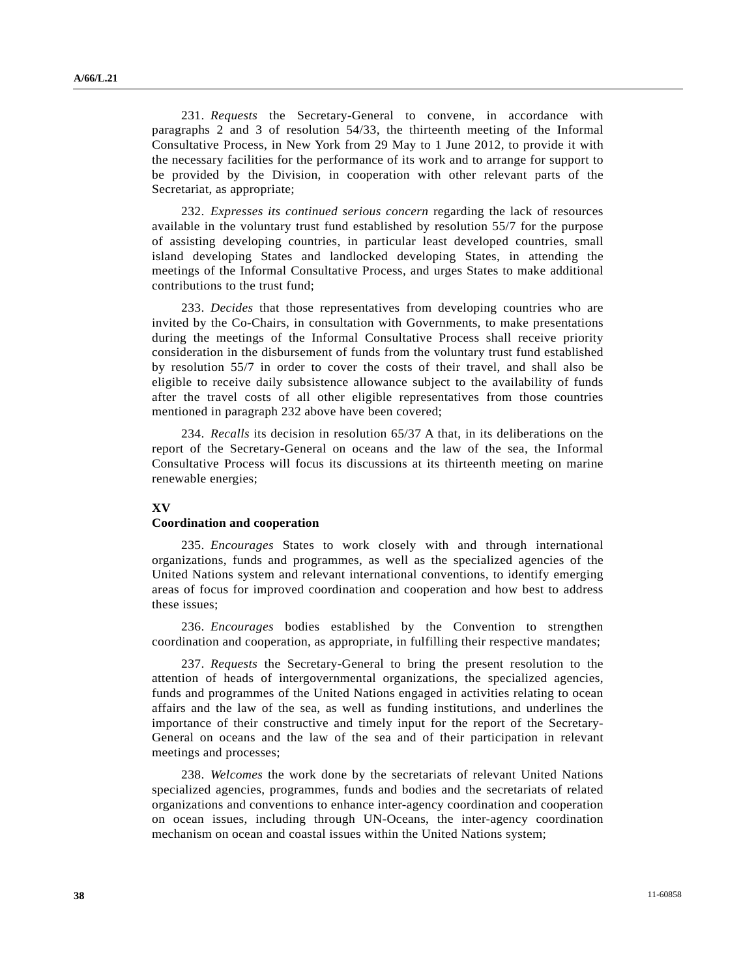231. *Requests* the Secretary-General to convene, in accordance with paragraphs 2 and 3 of resolution 54/33, the thirteenth meeting of the Informal Consultative Process, in New York from 29 May to 1 June 2012, to provide it with the necessary facilities for the performance of its work and to arrange for support to be provided by the Division, in cooperation with other relevant parts of the Secretariat, as appropriate;

 232. *Expresses its continued serious concern* regarding the lack of resources available in the voluntary trust fund established by resolution 55/7 for the purpose of assisting developing countries, in particular least developed countries, small island developing States and landlocked developing States, in attending the meetings of the Informal Consultative Process, and urges States to make additional contributions to the trust fund;

 233. *Decides* that those representatives from developing countries who are invited by the Co-Chairs, in consultation with Governments, to make presentations during the meetings of the Informal Consultative Process shall receive priority consideration in the disbursement of funds from the voluntary trust fund established by resolution 55/7 in order to cover the costs of their travel, and shall also be eligible to receive daily subsistence allowance subject to the availability of funds after the travel costs of all other eligible representatives from those countries mentioned in paragraph 232 above have been covered;

 234. *Recalls* its decision in resolution 65/37 A that, in its deliberations on the report of the Secretary-General on oceans and the law of the sea, the Informal Consultative Process will focus its discussions at its thirteenth meeting on marine renewable energies;

### **XV**

#### **Coordination and cooperation**

 235. *Encourages* States to work closely with and through international organizations, funds and programmes, as well as the specialized agencies of the United Nations system and relevant international conventions, to identify emerging areas of focus for improved coordination and cooperation and how best to address these issues;

 236. *Encourages* bodies established by the Convention to strengthen coordination and cooperation, as appropriate, in fulfilling their respective mandates;

 237. *Requests* the Secretary-General to bring the present resolution to the attention of heads of intergovernmental organizations, the specialized agencies, funds and programmes of the United Nations engaged in activities relating to ocean affairs and the law of the sea, as well as funding institutions, and underlines the importance of their constructive and timely input for the report of the Secretary-General on oceans and the law of the sea and of their participation in relevant meetings and processes;

 238. *Welcomes* the work done by the secretariats of relevant United Nations specialized agencies, programmes, funds and bodies and the secretariats of related organizations and conventions to enhance inter-agency coordination and cooperation on ocean issues, including through UN-Oceans, the inter-agency coordination mechanism on ocean and coastal issues within the United Nations system;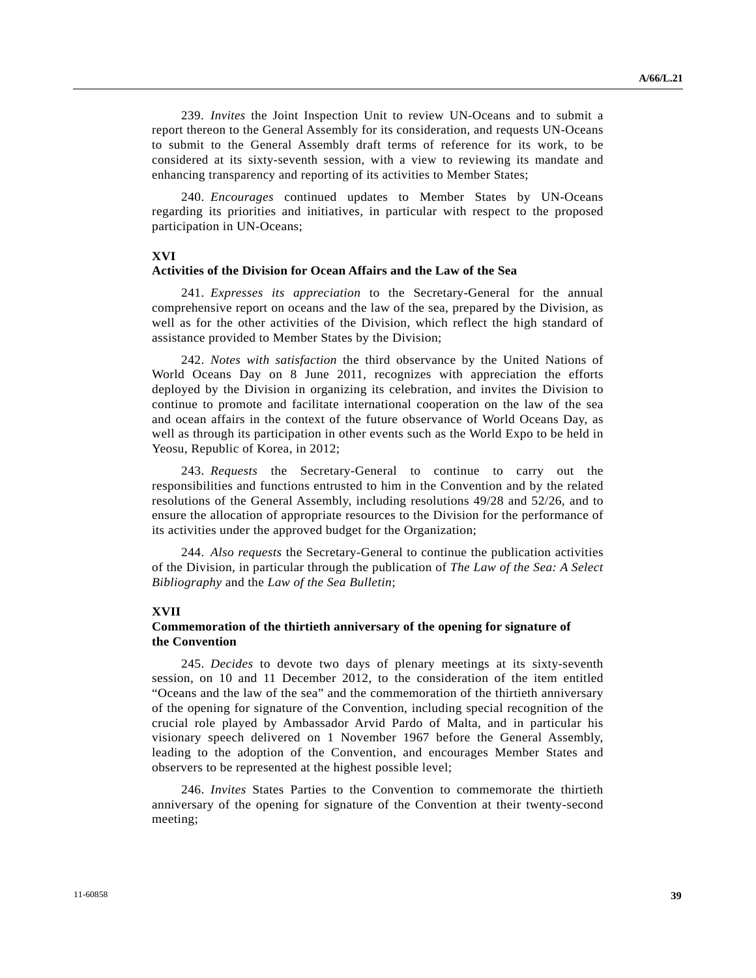239. *Invites* the Joint Inspection Unit to review UN-Oceans and to submit a report thereon to the General Assembly for its consideration, and requests UN-Oceans to submit to the General Assembly draft terms of reference for its work, to be considered at its sixty-seventh session, with a view to reviewing its mandate and enhancing transparency and reporting of its activities to Member States;

 240. *Encourages* continued updates to Member States by UN-Oceans regarding its priorities and initiatives, in particular with respect to the proposed participation in UN-Oceans;

#### **XVI**

## **Activities of the Division for Ocean Affairs and the Law of the Sea**

 241. *Expresses its appreciation* to the Secretary-General for the annual comprehensive report on oceans and the law of the sea, prepared by the Division, as well as for the other activities of the Division, which reflect the high standard of assistance provided to Member States by the Division;

 242. *Notes with satisfaction* the third observance by the United Nations of World Oceans Day on 8 June 2011, recognizes with appreciation the efforts deployed by the Division in organizing its celebration, and invites the Division to continue to promote and facilitate international cooperation on the law of the sea and ocean affairs in the context of the future observance of World Oceans Day, as well as through its participation in other events such as the World Expo to be held in Yeosu, Republic of Korea, in 2012;

 243. *Requests* the Secretary-General to continue to carry out the responsibilities and functions entrusted to him in the Convention and by the related resolutions of the General Assembly, including resolutions 49/28 and 52/26, and to ensure the allocation of appropriate resources to the Division for the performance of its activities under the approved budget for the Organization;

 244. *Also requests* the Secretary-General to continue the publication activities of the Division, in particular through the publication of *The Law of the Sea: A Select Bibliography* and the *Law of the Sea Bulletin*;

### **XVII**

## **Commemoration of the thirtieth anniversary of the opening for signature of the Convention**

 245. *Decides* to devote two days of plenary meetings at its sixty-seventh session, on 10 and 11 December 2012, to the consideration of the item entitled "Oceans and the law of the sea" and the commemoration of the thirtieth anniversary of the opening for signature of the Convention, including special recognition of the crucial role played by Ambassador Arvid Pardo of Malta, and in particular his visionary speech delivered on 1 November 1967 before the General Assembly, leading to the adoption of the Convention, and encourages Member States and observers to be represented at the highest possible level;

 246. *Invites* States Parties to the Convention to commemorate the thirtieth anniversary of the opening for signature of the Convention at their twenty-second meeting;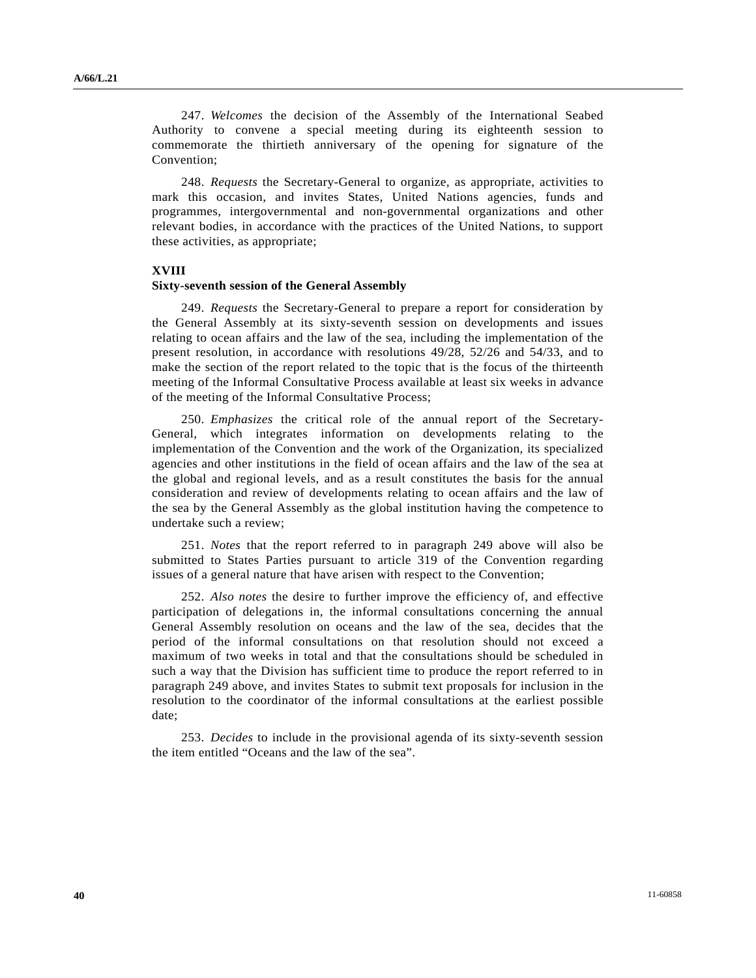247. *Welcomes* the decision of the Assembly of the International Seabed Authority to convene a special meeting during its eighteenth session to commemorate the thirtieth anniversary of the opening for signature of the Convention;

 248. *Requests* the Secretary-General to organize, as appropriate, activities to mark this occasion, and invites States, United Nations agencies, funds and programmes, intergovernmental and non-governmental organizations and other relevant bodies, in accordance with the practices of the United Nations, to support these activities, as appropriate;

## **XVIII**

#### **Sixty-seventh session of the General Assembly**

 249. *Requests* the Secretary-General to prepare a report for consideration by the General Assembly at its sixty-seventh session on developments and issues relating to ocean affairs and the law of the sea, including the implementation of the present resolution, in accordance with resolutions 49/28, 52/26 and 54/33, and to make the section of the report related to the topic that is the focus of the thirteenth meeting of the Informal Consultative Process available at least six weeks in advance of the meeting of the Informal Consultative Process;

 250. *Emphasizes* the critical role of the annual report of the Secretary-General, which integrates information on developments relating to the implementation of the Convention and the work of the Organization, its specialized agencies and other institutions in the field of ocean affairs and the law of the sea at the global and regional levels, and as a result constitutes the basis for the annual consideration and review of developments relating to ocean affairs and the law of the sea by the General Assembly as the global institution having the competence to undertake such a review;

 251. *Notes* that the report referred to in paragraph 249 above will also be submitted to States Parties pursuant to article 319 of the Convention regarding issues of a general nature that have arisen with respect to the Convention;

 252. *Also notes* the desire to further improve the efficiency of, and effective participation of delegations in, the informal consultations concerning the annual General Assembly resolution on oceans and the law of the sea, decides that the period of the informal consultations on that resolution should not exceed a maximum of two weeks in total and that the consultations should be scheduled in such a way that the Division has sufficient time to produce the report referred to in paragraph 249 above, and invites States to submit text proposals for inclusion in the resolution to the coordinator of the informal consultations at the earliest possible date;

 253. *Decides* to include in the provisional agenda of its sixty-seventh session the item entitled "Oceans and the law of the sea".